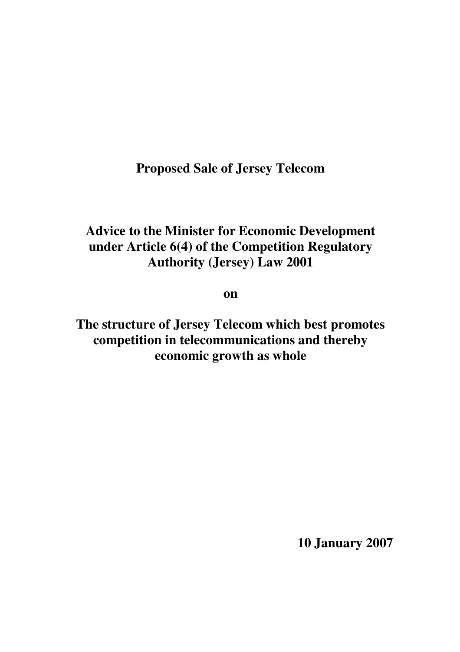**Proposed Sale of Jersey Telecom**

# **Advice to the Minister for Economic Development under Article 6(4) of the Competition Regulatory Authority (Jersey) Law 2001**

**on**

**The structure of Jersey Telecom which best promotes competition in telecommunications and thereby economic growth as whole**

**10 January 2007**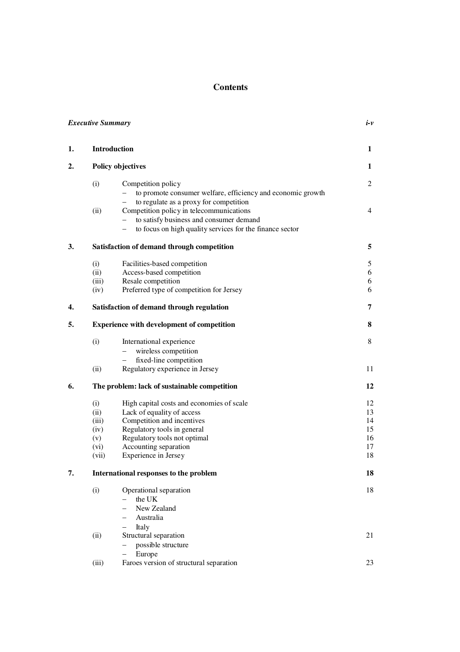## **Contents**

|    | <b>Executive Summary</b>                             |                                                                                                                                                                                                                       |                                        |  |
|----|------------------------------------------------------|-----------------------------------------------------------------------------------------------------------------------------------------------------------------------------------------------------------------------|----------------------------------------|--|
| 1. |                                                      | Introduction                                                                                                                                                                                                          | 1                                      |  |
| 2. | <b>Policy objectives</b>                             |                                                                                                                                                                                                                       | 1                                      |  |
|    | (i)                                                  | Competition policy<br>to promote consumer welfare, efficiency and economic growth<br>to regulate as a proxy for competition                                                                                           | $\overline{c}$                         |  |
|    | (ii)                                                 | Competition policy in telecommunications<br>to satisfy business and consumer demand<br>to focus on high quality services for the finance sector                                                                       | 4                                      |  |
| 3. | Satisfaction of demand through competition           |                                                                                                                                                                                                                       |                                        |  |
|    | (i)<br>(ii)<br>(iii)<br>(iv)                         | Facilities-based competition<br>Access-based competition<br>Resale competition<br>Preferred type of competition for Jersey                                                                                            | 5<br>6<br>6<br>6                       |  |
| 4. |                                                      | Satisfaction of demand through regulation                                                                                                                                                                             | 7                                      |  |
| 5. | <b>Experience with development of competition</b>    |                                                                                                                                                                                                                       |                                        |  |
|    | (i)<br>(ii)                                          | International experience<br>wireless competition<br>$\equiv$<br>fixed-line competition<br>$\overline{\phantom{0}}$<br>Regulatory experience in Jersey                                                                 | 8<br>11                                |  |
| 6. | The problem: lack of sustainable competition         |                                                                                                                                                                                                                       |                                        |  |
|    | (i)<br>(ii)<br>(iii)<br>(iv)<br>(v)<br>(vi)<br>(vii) | High capital costs and economies of scale<br>Lack of equality of access<br>Competition and incentives<br>Regulatory tools in general<br>Regulatory tools not optimal<br>Accounting separation<br>Experience in Jersey | 12<br>13<br>14<br>15<br>16<br>17<br>18 |  |
| 7. | International responses to the problem               |                                                                                                                                                                                                                       |                                        |  |
|    | (i)                                                  | Operational separation<br>the UK<br>New Zealand<br>Australia<br>$\equiv$<br>Italy                                                                                                                                     | 18                                     |  |
|    | (ii)                                                 | Structural separation<br>possible structure<br>Europe                                                                                                                                                                 | 21                                     |  |
|    | (iii)                                                | Faroes version of structural separation                                                                                                                                                                               | 23                                     |  |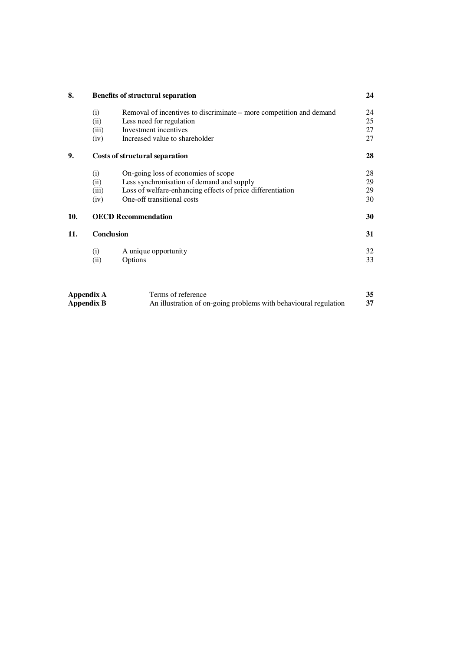| 8.  | <b>Benefits of structural separation</b> |                                                                                                                                                                              |                      |
|-----|------------------------------------------|------------------------------------------------------------------------------------------------------------------------------------------------------------------------------|----------------------|
|     | (i)<br>(ii)<br>(iii)<br>(iv)             | Removal of incentives to discriminate – more competition and demand<br>Less need for regulation<br>Investment incentives<br>Increased value to shareholder                   | 24<br>25<br>27<br>27 |
| 9.  | <b>Costs of structural separation</b>    |                                                                                                                                                                              | 28                   |
|     | (i)<br>(ii)<br>(iii)<br>(iv)             | On-going loss of economies of scope<br>Less synchronisation of demand and supply<br>Loss of welfare-enhancing effects of price differentiation<br>One-off transitional costs | 28<br>29<br>29<br>30 |
| 10. | <b>OECD Recommendation</b>               |                                                                                                                                                                              | 30                   |
| 11. | Conclusion                               |                                                                                                                                                                              |                      |
|     | (i)<br>(ii)                              | A unique opportunity<br>Options                                                                                                                                              | 32<br>33             |

| Appendix A | Terms of reference                                               | 35 |
|------------|------------------------------------------------------------------|----|
| Appendix B | An illustration of on-going problems with behavioural regulation |    |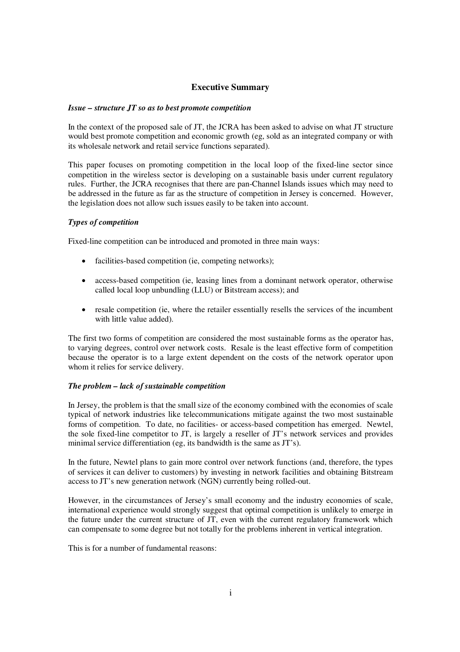## **Executive Summary**

#### *Issue – structure JT so as to best promote competition*

In the context of the proposed sale of JT, the JCRA has been asked to advise on what JT structure would best promote competition and economic growth (eg, sold as an integrated company or with its wholesale network and retail service functions separated).

This paper focuses on promoting competition in the local loop of the fixed-line sector since competition in the wireless sector is developing on a sustainable basis under current regulatory rules. Further, the JCRA recognises that there are pan-Channel Islands issues which may need to be addressed in the future as far as the structure of competition in Jersey is concerned. However, the legislation does not allow such issues easily to be taken into account.

#### *Types of competition*

Fixed-line competition can be introduced and promoted in three main ways:

- facilities-based competition (ie, competing networks);
- access-based competition (ie, leasing lines from a dominant network operator, otherwise called local loop unbundling (LLU) or Bitstream access); and
- resale competition (ie, where the retailer essentially resells the services of the incumbent with little value added).

The first two forms of competition are considered the most sustainable forms as the operator has, to varying degrees, control over network costs. Resale is the least effective form of competition because the operator is to a large extent dependent on the costs of the network operator upon whom it relies for service delivery.

#### *The problem – lack of sustainable competition*

In Jersey, the problem is that the small size of the economy combined with the economies of scale typical of network industries like telecommunications mitigate against the two most sustainable forms of competition. To date, no facilities- or access-based competition has emerged. Newtel, the sole fixed-line competitor to JT, is largely a reseller of JT's network services and provides minimal service differentiation (eg, its bandwidth is the same as JT's).

In the future, Newtel plans to gain more control over network functions (and, therefore, the types of services it can deliver to customers) by investing in network facilities and obtaining Bitstream access to JT's new generation network (NGN) currently being rolled-out.

However, in the circumstances of Jersey's small economy and the industry economies of scale, international experience would strongly suggest that optimal competition is unlikely to emerge in the future under the current structure of JT, even with the current regulatory framework which can compensate to some degree but not totally for the problems inherent in vertical integration.

This is for a number of fundamental reasons: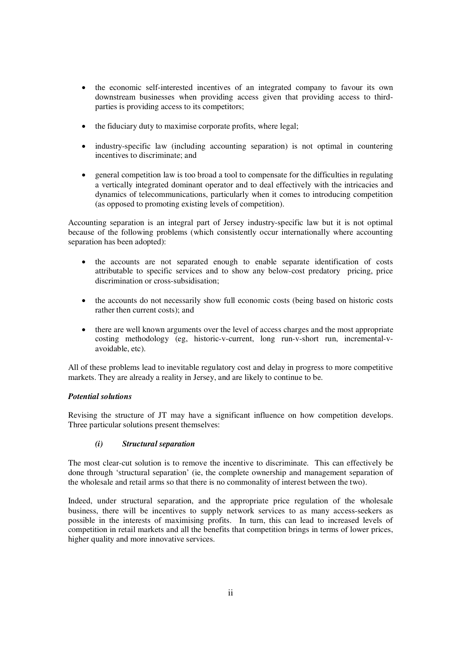- the economic self-interested incentives of an integrated company to favour its own downstream businesses when providing access given that providing access to thirdparties is providing access to its competitors;
- the fiduciary duty to maximise corporate profits, where legal;
- industry-specific law (including accounting separation) is not optimal in countering incentives to discriminate; and
- general competition law is too broad a tool to compensate for the difficulties in regulating a vertically integrated dominant operator and to deal effectively with the intricacies and dynamics of telecommunications, particularly when it comes to introducing competition (as opposed to promoting existing levels of competition).

Accounting separation is an integral part of Jersey industry-specific law but it is not optimal because of the following problems (which consistently occur internationally where accounting separation has been adopted):

- the accounts are not separated enough to enable separate identification of costs attributable to specific services and to show any below-cost predatory pricing, price discrimination or cross-subsidisation;
- the accounts do not necessarily show full economic costs (being based on historic costs rather then current costs); and
- there are well known arguments over the level of access charges and the most appropriate costing methodology (eg, historic-v-current, long run-v-short run, incremental-vavoidable, etc).

All of these problems lead to inevitable regulatory cost and delay in progress to more competitive markets. They are already a reality in Jersey, and are likely to continue to be.

## *Potential solutions*

Revising the structure of JT may have a significant influence on how competition develops. Three particular solutions present themselves:

## *(i) Structural separation*

The most clear-cut solution is to remove the incentive to discriminate. This can effectively be done through 'structural separation' (ie, the complete ownership and management separation of the wholesale and retail arms so that there is no commonality of interest between the two).

Indeed, under structural separation, and the appropriate price regulation of the wholesale business, there will be incentives to supply network services to as many access-seekers as possible in the interests of maximising profits. In turn, this can lead to increased levels of competition in retail markets and all the benefits that competition brings in terms of lower prices, higher quality and more innovative services.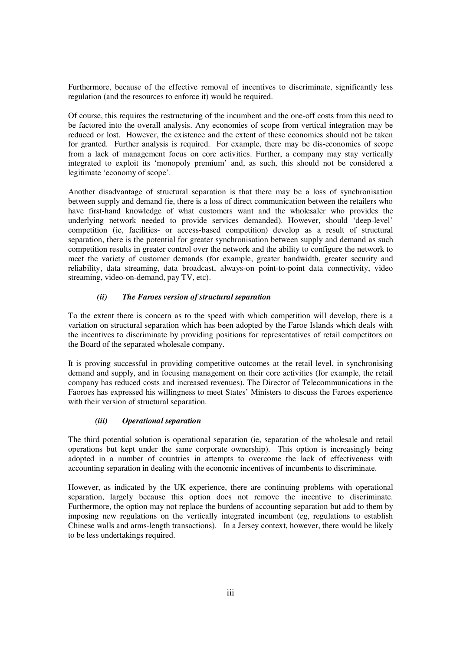Furthermore, because of the effective removal of incentives to discriminate, significantly less regulation (and the resources to enforce it) would be required.

Of course, this requires the restructuring of the incumbent and the one-off costs from this need to be factored into the overall analysis. Any economies of scope from vertical integration may be reduced or lost. However, the existence and the extent of these economies should not be taken for granted. Further analysis is required. For example, there may be dis-economies of scope from a lack of management focus on core activities. Further, a company may stay vertically integrated to exploit its 'monopoly premium' and, as such, this should not be considered a legitimate 'economy of scope'.

Another disadvantage of structural separation is that there may be a loss of synchronisation between supply and demand (ie, there is a loss of direct communication between the retailers who have first-hand knowledge of what customers want and the wholesaler who provides the underlying network needed to provide services demanded). However, should 'deep-level' competition (ie, facilities- or access-based competition) develop as a result of structural separation, there is the potential for greater synchronisation between supply and demand as such competition results in greater control over the network and the ability to configure the network to meet the variety of customer demands (for example, greater bandwidth, greater security and reliability, data streaming, data broadcast, always-on point-to-point data connectivity, video streaming, video-on-demand, pay TV, etc).

## *(ii) The Faroes version of structural separation*

To the extent there is concern as to the speed with which competition will develop, there is a variation on structural separation which has been adopted by the Faroe Islands which deals with the incentives to discriminate by providing positions for representatives of retail competitors on the Board of the separated wholesale company.

It is proving successful in providing competitive outcomes at the retail level, in synchronising demand and supply, and in focusing management on their core activities (for example, the retail company has reduced costs and increased revenues). The Director of Telecommunications in the Faoroes has expressed his willingness to meet States' Ministers to discuss the Faroes experience with their version of structural separation.

#### *(iii) Operational separation*

The third potential solution is operational separation (ie, separation of the wholesale and retail operations but kept under the same corporate ownership). This option is increasingly being adopted in a number of countries in attempts to overcome the lack of effectiveness with accounting separation in dealing with the economic incentives of incumbents to discriminate.

However, as indicated by the UK experience, there are continuing problems with operational separation, largely because this option does not remove the incentive to discriminate. Furthermore, the option may not replace the burdens of accounting separation but add to them by imposing new regulations on the vertically integrated incumbent (eg, regulations to establish Chinese walls and arms-length transactions). In a Jersey context, however, there would be likely to be less undertakings required.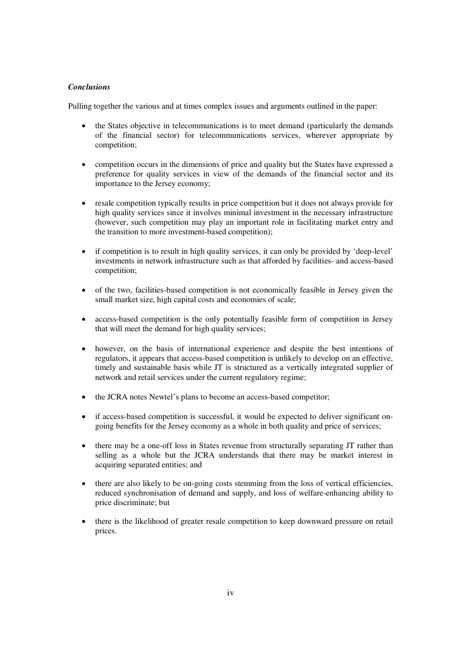## *Conclusions*

Pulling together the various and at times complex issues and arguments outlined in the paper:

- the States objective in telecommunications is to meet demand (particularly the demands of the financial sector) for telecommunications services, wherever appropriate by competition;
- competition occurs in the dimensions of price and quality but the States have expressed a preference for quality services in view of the demands of the financial sector and its importance to the Jersey economy;
- resale competition typically results in price competition but it does not always provide for high quality services since it involves minimal investment in the necessary infrastructure (however, such competition may play an important role in facilitating market entry and the transition to more investment-based competition);
- if competition is to result in high quality services, it can only be provided by 'deep-level' investments in network infrastructure such as that afforded by facilities- and access-based competition;
- of the two, facilities-based competition is not economically feasible in Jersey given the small market size, high capital costs and economies of scale;
- $\bullet$  access-based competition is the only potentially feasible form of competition in Jersey that will meet the demand for high quality services;
- however, on the basis of international experience and despite the best intentions of regulators, it appears that access-based competition is unlikely to develop on an effective, timely and sustainable basis while JT is structured as a vertically integrated supplier of network and retail services under the current regulatory regime;
- the JCRA notes Newtel's plans to become an access-based competitor;
- if access-based competition is successful, it would be expected to deliver significant ongoing benefits for the Jersey economy as a whole in both quality and price of services;
- there may be a one-off loss in States revenue from structurally separating JT rather than selling as a whole but the JCRA understands that there may be market interest in acquiring separated entities; and
- $\bullet$  there are also likely to be on-going costs stemming from the loss of vertical efficiencies, reduced synchronisation of demand and supply, and loss of welfare-enhancing ability to price discriminate; but
- there is the likelihood of greater resale competition to keep downward pressure on retail prices.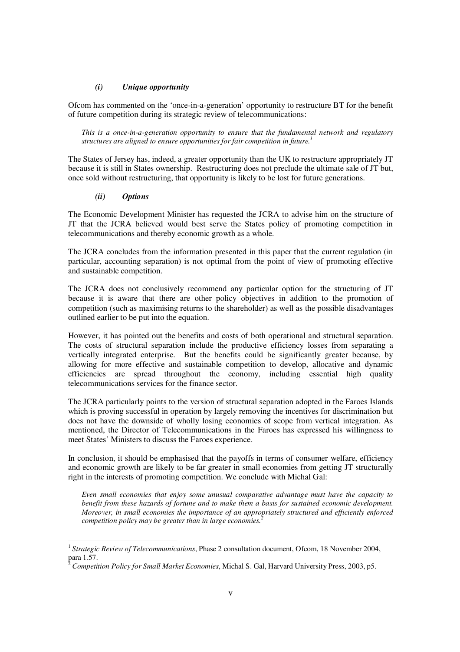#### *(i) Unique opportunity*

Ofcom has commented on the 'once-in-a-generation' opportunity to restructure BT for the benefit of future competition during its strategic review of telecommunications:

*This is a once-in-a-generation opportunity to ensure that the fundamental network and regulatory structures are aligned to ensure opportunities for fair competition in future. 1*

The States of Jersey has, indeed, a greater opportunity than the UK to restructure appropriately JT because it is still in States ownership. Restructuring does not preclude the ultimate sale of JT but, once sold without restructuring, that opportunity is likely to be lost for future generations.

#### *(ii) Options*

The Economic Development Minister has requested the JCRA to advise him on the structure of JT that the JCRA believed would best serve the States policy of promoting competition in telecommunications and thereby economic growth as a whole.

The JCRA concludes from the information presented in this paper that the current regulation (in particular, accounting separation) is not optimal from the point of view of promoting effective and sustainable competition.

The JCRA does not conclusively recommend any particular option for the structuring of JT because it is aware that there are other policy objectives in addition to the promotion of competition (such as maximising returns to the shareholder) as well as the possible disadvantages outlined earlier to be put into the equation.

However, it has pointed out the benefits and costs of both operational and structural separation. The costs of structural separation include the productive efficiency losses from separating a vertically integrated enterprise. But the benefits could be significantly greater because, by allowing for more effective and sustainable competition to develop, allocative and dynamic efficiencies are spread throughout the economy, including essential high quality telecommunications services for the finance sector.

The JCRA particularly points to the version of structural separation adopted in the Faroes Islands which is proving successful in operation by largely removing the incentives for discrimination but does not have the downside of wholly losing economies of scope from vertical integration. As mentioned, the Director of Telecommunications in the Faroes has expressed his willingness to meet States' Ministers to discuss the Faroes experience.

In conclusion, it should be emphasised that the payoffs in terms of consumer welfare, efficiency and economic growth are likely to be far greater in small economies from getting JT structurally right in the interests of promoting competition. We conclude with Michal Gal:

*Even small economies that enjoy some unusual comparative advantage must have the capacity to benefit from these hazards of fortune and to make them a basis for sustained economic development. Moreover, in small economies the importance of an appropriately structured and efficiently enforced competition policy may be greater than in large economies. 2*

<sup>1</sup> *Strategic Review of Telecommunications*, Phase 2 consultation document, Ofcom, 18 November 2004, para 1.57.

<sup>2</sup> *Competition Policy for Small Market Economies*, Michal S. Gal, Harvard University Press, 2003, p5.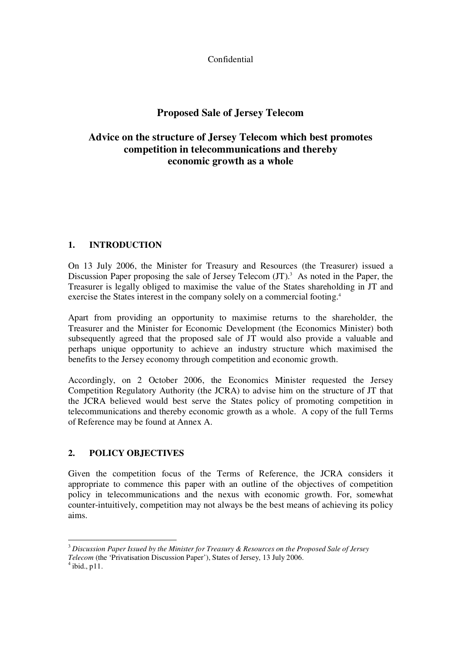Confidential

## **Proposed Sale of Jersey Telecom**

## **Advice on the structure of Jersey Telecom which best promotes competition in telecommunications and thereby economic growth as a whole**

## **1. INTRODUCTION**

On 13 July 2006, the Minister for Treasury and Resources (the Treasurer) issued a Discussion Paper proposing the sale of Jersey Telecom (JT).<sup>3</sup> As noted in the Paper, the Treasurer is legally obliged to maximise the value of the States shareholding in JT and exercise the States interest in the company solely on a commercial footing.<sup>4</sup>

Apart from providing an opportunity to maximise returns to the shareholder, the Treasurer and the Minister for Economic Development (the Economics Minister) both subsequently agreed that the proposed sale of JT would also provide a valuable and perhaps unique opportunity to achieve an industry structure which maximised the benefits to the Jersey economy through competition and economic growth.

Accordingly, on 2 October 2006, the Economics Minister requested the Jersey Competition Regulatory Authority (the JCRA) to advise him on the structure of JT that the JCRA believed would best serve the States policy of promoting competition in telecommunications and thereby economic growth as a whole. A copy of the full Terms of Reference may be found at Annex A.

## **2. POLICY OBJECTIVES**

Given the competition focus of the Terms of Reference, the JCRA considers it appropriate to commence this paper with an outline of the objectives of competition policy in telecommunications and the nexus with economic growth. For, somewhat counter-intuitively, competition may not always be the best means of achieving its policy aims.

<sup>3</sup> *Discussion Paper Issued by the Minister for Treasury & Resources on the Proposed Sale of Jersey Telecom* (the 'Privatisation Discussion Paper'), States of Jersey, 13 July 2006.

 $<sup>4</sup>$  ibid., p11.</sup>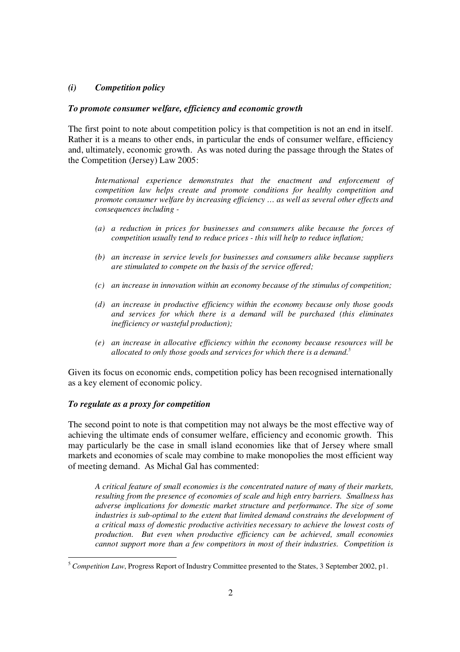## *(i) Competition policy*

#### *To promote consumer welfare, efficiency and economic growth*

The first point to note about competition policy is that competition is not an end in itself. Rather it is a means to other ends, in particular the ends of consumer welfare, efficiency and, ultimately, economic growth. As was noted during the passage through the States of the Competition (Jersey) Law 2005:

*International experience demonstrates that the enactment and enforcement of competition law helps create and promote conditions for healthy competition and promote consumer welfare by increasing efficiency … as well as several other effects and consequences including -*

- *(a) a reduction in prices for businesses and consumers alike because the forces of competition usually tend to reduce prices - this will help to reduce inflation;*
- *(b) an increase in service levels for businesses and consumers alike because suppliers are stimulated to compete on the basis of the service offered;*
- *(c) an increase in innovation within an economy because of the stimulus of competition;*
- *(d) an increase in productive efficiency within the economy because only those goods and services for which there is a demand will be purchased (this eliminates inef iciency or wasteful production);*
- *(e) an increase in allocative ef iciency within the economy because resources will be allocated to only those goods and services for which there is a demand. 5*

Given its focus on economic ends, competition policy has been recognised internationally as a key element of economic policy.

#### *To regulate as a proxy for competition*

The second point to note is that competition may not always be the most effective way of achieving the ultimate ends of consumer welfare, efficiency and economic growth. This may particularly be the case in small island economies like that of Jersey where small markets and economies of scale may combine to make monopolies the most efficient way of meeting demand. As Michal Gal has commented:

*A critical feature of small economies is the concentrated nature of many of their markets, resulting from the presence of economies of scale and high entry barriers. Smallness has adverse implications for domestic market structure and performance. The size of some industries is sub-optimal to the extent that limited demand constrains the development of a critical mass of domestic productive activities necessary to achieve the lowest costs of production. But even when productive efficiency can be achieved, small economies cannot support more than a few competitors in most of their industries. Competition is*

<sup>5</sup> *Competition Law*, Progress Report of Industry Committee presented to the States, 3 September 2002, p1.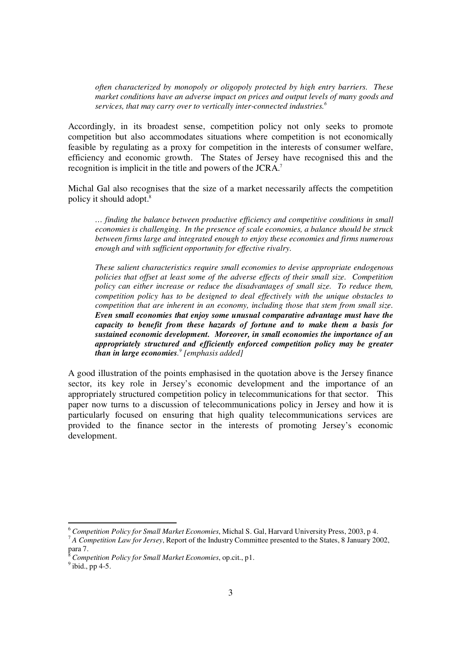*often characterized by monopoly or oligopoly protected by high entry barriers. These market conditions have an adverse impact on prices and output levels of many goods and services, that may carry over to vertically inter-connected industries. 6*

Accordingly, in its broadest sense, competition policy not only seeks to promote competition but also accommodates situations where competition is not economically feasible by regulating as a proxy for competition in the interests of consumer welfare, efficiency and economic growth. The States of Jersey have recognised this and the recognition is implicit in the title and powers of the JCRA.<sup>7</sup>

Michal Gal also recognises that the size of a market necessarily affects the competition policy it should adopt. 8

*… finding the balance between productive efficiency and competitive conditions in small economies is challenging. In the presence of scale economies, a balance should be struck between firms large and integrated enough to enjoy these economies and firms numerous enough and with sufficient opportunity for effective rivalry.*

*These salient characteristics require small economies to devise appropriate endogenous policies that offset at least some of the adverse effects of their small size. Competition policy can either increase or reduce the disadvantages of small size. To reduce them, competition policy has to be designed to deal effectively with the unique obstacles to competition that are inherent in an economy, including those that stem from small size. Even small economies that enjoy some unusual comparative advantage must have the capacity to benefit from these hazards of fortune and to make them a basis for sustained economic development. Moreover, in small economies the importance of an appropriately structured and efficiently enforced competition policy may be greater than in large economies. 9 [emphasis added]*

A good illustration of the points emphasised in the quotation above is the Jersey finance sector, its key role in Jersey's economic development and the importance of an appropriately structured competition policy in telecommunications for that sector. This paper now turns to a discussion of telecommunications policy in Jersey and how it is particularly focused on ensuring that high quality telecommunications services are provided to the finance sector in the interests of promoting Jersey's economic development.

<sup>6</sup> *Competition Policy for Small Market Economies*, Michal S. Gal, Harvard University Press, 2003, p 4. 7 *A Competition Law for Jersey*, Report of the Industry Committee presented to the States, 8 January 2002, para 7.

<sup>8</sup> *Competition Policy for Small Market Economies*, op.cit., p1.

 $<sup>9</sup>$  ibid., pp 4-5.</sup>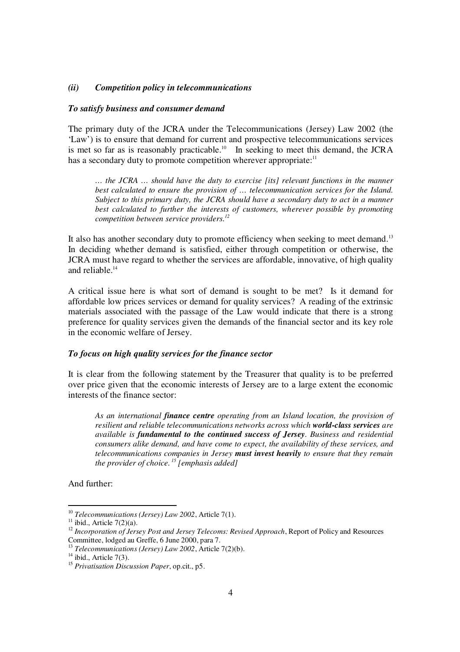### *(ii) Competition policy in telecommunications*

#### *To satisfy business and consumer demand*

The primary duty of the JCRA under the Telecommunications (Jersey) Law 2002 (the 'Law') is to ensure that demand for current and prospective telecommunications services is met so far as is reasonably practicable.<sup>10</sup> In seeking to meet this demand, the JCRA has a secondary duty to promote competition wherever appropriate:<sup>11</sup>

*… the JCRA … should have the duty to exercise [its] relevant functions in the manner best calculated to ensure the provision of … telecommunication services for the Island. Subject to this primary duty, the JCRA should have a secondary duty to act in a manner best calculated to further the interests of customers, wherever possible by promoting competition between service providers. 12*

It also has another secondary duty to promote efficiency when seeking to meet demand.<sup>13</sup> In deciding whether demand is satisfied, either through competition or otherwise, the JCRA must have regard to whether the services are affordable, innovative, of high quality and reliable. 14

A critical issue here is what sort of demand is sought to be met? Is it demand for affordable low prices services or demand for quality services? A reading of the extrinsic materials associated with the passage of the Law would indicate that there is a strong preference for quality services given the demands of the financial sector and its key role in the economic welfare of Jersey.

## *To focus on high quality services for the finance sector*

It is clear from the following statement by the Treasurer that quality is to be preferred over price given that the economic interests of Jersey are to a large extent the economic interests of the finance sector:

*As an international finance centre operating from an Island location, the provision of resilient and reliable telecommunications networks across which world-class services are available is fundamental to the continued success of Jersey. Business and residential consumers alike demand, and have come to expect, the availability of these services, and telecommunications companies in Jersey must invest heavily to ensure that they remain the provider of choice. 15 [emphasis added]*

And further:

<sup>10</sup> *Telecommunications (Jersey) Law 2002*, Article 7(1).

 $11$  ibid., Article 7(2)(a).

<sup>12</sup> *Incorporation of Jersey Post and Jersey Telecoms: Revised Approach*, Report of Policy and Resources Committee, lodged au Greffe, 6 June 2000, para 7.

<sup>13</sup> *Telecommunications (Jersey) Law 2002*, Article 7(2)(b).

 $14$  ibid., Article 7(3).

<sup>15</sup> *Privatisation Discussion Paper*, op.cit., p5.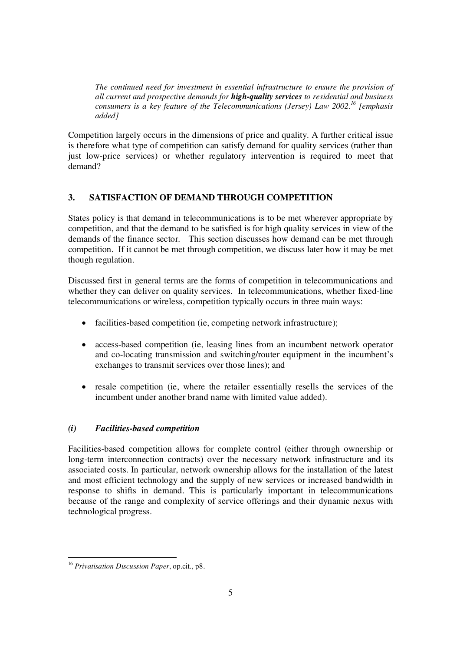*The continued need for investment in essential infrastructure to ensure the provision of all current and prospective demands for high-quality services to residential and business consumers is a key feature of the Telecommunications (Jersey) Law 2002. 16 [emphasis added]*

Competition largely occurs in the dimensions of price and quality. A further critical issue is therefore what type of competition can satisfy demand for quality services (rather than just low-price services) or whether regulatory intervention is required to meet that demand?

## **3. SATISFACTION OF DEMAND THROUGH COMPETITION**

States policy is that demand in telecommunications is to be met wherever appropriate by competition, and that the demand to be satisfied is for high quality services in view of the demands of the finance sector. This section discusses how demand can be met through competition. If it cannot be met through competition, we discuss later how it may be met though regulation.

Discussed first in general terms are the forms of competition in telecommunications and whether they can deliver on quality services. In telecommunications, whether fixed-line telecommunications or wireless, competition typically occurs in three main ways:

- facilities-based competition (ie, competing network infrastructure);
- $\bullet$  access-based competition (ie, leasing lines from an incumbent network operator and co-locating transmission and switching/router equipment in the incumbent's exchanges to transmit services over those lines); and
- resale competition (ie, where the retailer essentially resells the services of the incumbent under another brand name with limited value added).

## *(i) Facilities-based competition*

Facilities-based competition allows for complete control (either through ownership or long-term interconnection contracts) over the necessary network infrastructure and its associated costs. In particular, network ownership allows for the installation of the latest and most efficient technology and the supply of new services or increased bandwidth in response to shifts in demand. This is particularly important in telecommunications because of the range and complexity of service offerings and their dynamic nexus with technological progress.

<sup>16</sup> *Privatisation Discussion Paper*, op.cit., p8.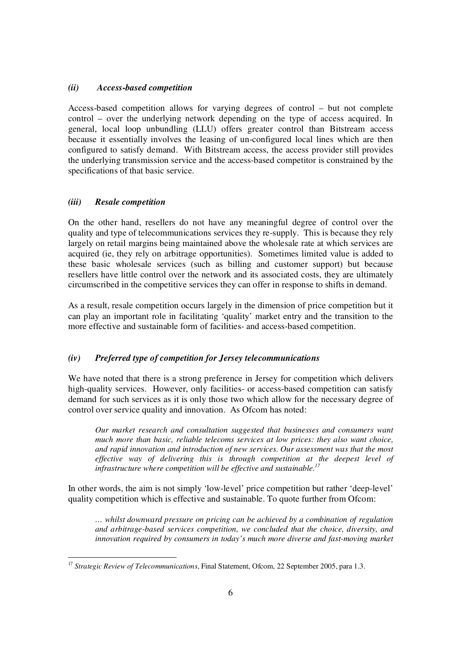## *(ii) Access-based competition*

Access-based competition allows for varying degrees of control – but not complete control – over the underlying network depending on the type of access acquired. In general, local loop unbundling (LLU) offers greater control than Bitstream access because it essentially involves the leasing of un-configured local lines which are then configured to satisfy demand. With Bitstream access, the access provider still provides the underlying transmission service and the access-based competitor is constrained by the specifications of that basic service.

## *(iii) Resale competition*

On the other hand, resellers do not have any meaningful degree of control over the quality and type of telecommunications services they re-supply. This is because they rely largely on retail margins being maintained above the wholesale rate at which services are acquired (ie, they rely on arbitrage opportunities). Sometimes limited value is added to these basic wholesale services (such as billing and customer support) but because resellers have little control over the network and its associated costs, they are ultimately circumscribed in the competitive services they can offer in response to shifts in demand.

As a result, resale competition occurs largely in the dimension of price competition but it can play an important role in facilitating 'quality' market entry and the transition to the more effective and sustainable form of facilities- and access-based competition.

## *(iv) Preferred type of competition for Jersey telecommunications*

We have noted that there is a strong preference in Jersey for competition which delivers high-quality services. However, only facilities- or access-based competition can satisfy demand for such services as it is only those two which allow for the necessary degree of control over service quality and innovation. As Ofcom has noted:

*Our market research and consultation suggested that businesses and consumers want much more than basic, reliable telecoms services at low prices: they also want choice, and rapid innovation and introduction of new services. Our assessment was that the most effective way of delivering this is through competition at the deepest level of infrastructure where competition will be effective and sustainable. 17*

In other words, the aim is not simply 'low-level' price competition but rather 'deep-level' quality competition which is effective and sustainable. To quote further from Ofcom:

*… whilst downward pressure on pricing can be achieved by a combination of regulation and arbitrage-based services competition, we concluded that the choice, diversity, and innovation required by consumers in today's much more diverse and fast-moving market*

<sup>17</sup> *Strategic Review of Telecommunications*, Final Statement, Ofcom, 22 September 2005, para 1.3.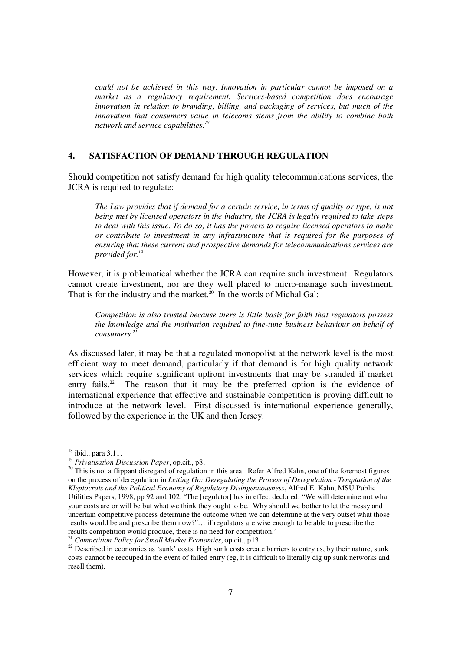*could not be achieved in this way. Innovation in particular cannot be imposed on a market as a regulatory requirement. Services-based competition does encourage innovation in relation to branding, billing, and packaging of services, but much of the innovation that consumers value in telecoms stems from the ability to combine both network and service capabilities. 18*

## **4. SATISFACTION OF DEMAND THROUGH REGULATION**

Should competition not satisfy demand for high quality telecommunications services, the JCRA is required to regulate:

*The Law provides that if demand for a certain service, in terms of quality or type, is not being met by licensed operators in the industry, the JCRA is legally required to take steps to deal with this issue. To do so, it has the powers to require licensed operators to make or contribute to investment in any infrastructure that is required for the purposes of ensuring that these current and prospective demands for telecommunications services are provided for. 19*

However, it is problematical whether the JCRA can require such investment. Regulators cannot create investment, nor are they well placed to micro-manage such investment. That is for the industry and the market.<sup>20</sup> In the words of Michal Gal:

*Competition is also trusted because there is little basis for faith that regulators possess the knowledge and the motivation required to fine-tune business behaviour on behalf of consumers. 21*

As discussed later, it may be that a regulated monopolist at the network level is the most efficient way to meet demand, particularly if that demand is for high quality network services which require significant upfront investments that may be stranded if market entry fails.<sup>22</sup> The reason that it may be the preferred option is the evidence of international experience that effective and sustainable competition is proving difficult to introduce at the network level. First discussed is international experience generally, followed by the experience in the UK and then Jersey.

<sup>&</sup>lt;sup>18</sup> ibid., para 3.11.

<sup>19</sup> *Privatisation Discussion Paper*, op.cit., p8.

<sup>&</sup>lt;sup>20</sup> This is not a flippant disregard of regulation in this area. Refer Alfred Kahn, one of the foremost figures on the process of deregulation in *Letting Go: Deregulating the Process of Deregulation - Temptation of the Kleptocrats and the Political Economy of Regulatory Disingenuousness*, Alfred E. Kahn, MSU Public Utilities Papers, 1998, pp 92 and 102: 'The [regulator] has in effect declared: "We will determine not what your costs are or will be but what we think they ought to be. Why should we bother to let the messy and uncertain competitive process determine the outcome when we can determine at the very outset what those results would be and prescribe them now?"… if regulators are wise enough to be able to prescribe the results competition would produce, there is no need for competition.'

<sup>21</sup> *Competition Policy for Small Market Economies*, op.cit., p13.

<sup>&</sup>lt;sup>22</sup> Described in economics as 'sunk' costs. High sunk costs create barriers to entry as, by their nature, sunk costs cannot be recouped in the event of failed entry (eg, it is difficult to literally dig up sunk networks and resell them).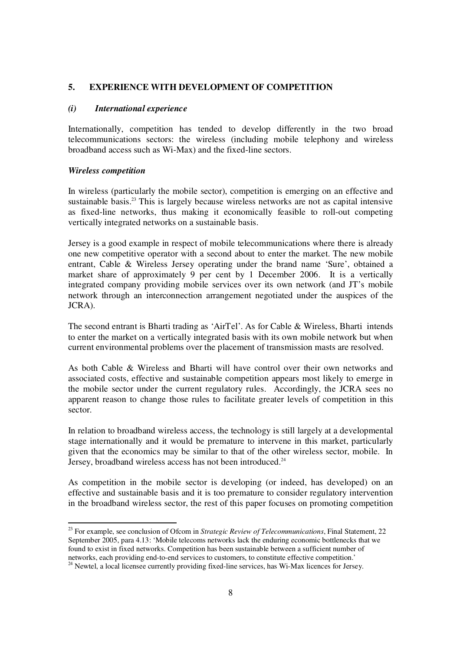## **5. EXPERIENCE WITH DEVELOPMENT OF COMPETITION**

#### *(i) International experience*

Internationally, competition has tended to develop differently in the two broad telecommunications sectors: the wireless (including mobile telephony and wireless broadband access such as Wi-Max) and the fixed-line sectors.

#### *Wireless competition*

In wireless (particularly the mobile sector), competition is emerging on an effective and sustainable basis.<sup>23</sup> This is largely because wireless networks are not as capital intensive as fixed-line networks, thus making it economically feasible to roll-out competing vertically integrated networks on a sustainable basis.

Jersey is a good example in respect of mobile telecommunications where there is already one new competitive operator with a second about to enter the market. The new mobile entrant, Cable & Wireless Jersey operating under the brand name 'Sure', obtained a market share of approximately 9 per cent by 1 December 2006. It is a vertically integrated company providing mobile services over its own network (and JT's mobile network through an interconnection arrangement negotiated under the auspices of the JCRA).

The second entrant is Bharti trading as 'AirTel'. As for Cable & Wireless, Bharti intends to enter the market on a vertically integrated basis with its own mobile network but when current environmental problems over the placement of transmission masts are resolved.

As both Cable & Wireless and Bharti will have control over their own networks and associated costs, effective and sustainable competition appears most likely to emerge in the mobile sector under the current regulatory rules. Accordingly, the JCRA sees no apparent reason to change those rules to facilitate greater levels of competition in this sector.

In relation to broadband wireless access, the technology is still largely at a developmental stage internationally and it would be premature to intervene in this market, particularly given that the economics may be similar to that of the other wireless sector, mobile. In Jersey, broadband wireless access has not been introduced.<sup>24</sup>

As competition in the mobile sector is developing (or indeed, has developed) on an effective and sustainable basis and it is too premature to consider regulatory intervention in the broadband wireless sector, the rest of this paper focuses on promoting competition

<sup>23</sup> For example, see conclusion of Ofcom in *Strategic Review of Telecommunications*, Final Statement, 22 September 2005, para 4.13: 'Mobile telecoms networks lack the enduring economic bottlenecks that we found to exist in fixed networks. Competition has been sustainable between a sufficient number of networks, each providing end-to-end services to customers, to constitute effective competition.'

<sup>&</sup>lt;sup>24</sup> Newtel, a local licensee currently providing fixed-line services, has Wi-Max licences for Jersey.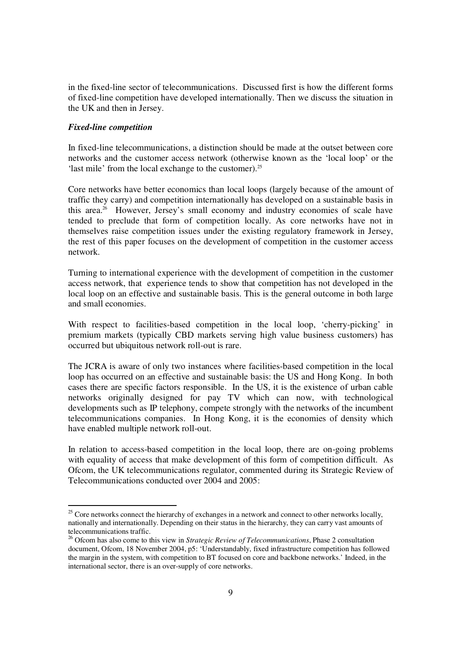in the fixed-line sector of telecommunications. Discussed first is how the different forms of fixed-line competition have developed internationally. Then we discuss the situation in the UK and then in Jersey.

#### *Fixed-line competition*

In fixed-line telecommunications, a distinction should be made at the outset between core networks and the customer access network (otherwise known as the 'local loop' or the 'last mile' from the local exchange to the customer).<sup>25</sup>

Core networks have better economics than local loops (largely because of the amount of traffic they carry) and competition internationally has developed on a sustainable basis in this area. <sup>26</sup> However, Jersey's small economy and industry economies of scale have tended to preclude that form of competition locally. As core networks have not in themselves raise competition issues under the existing regulatory framework in Jersey, the rest of this paper focuses on the development of competition in the customer access network.

Turning to international experience with the development of competition in the customer access network, that experience tends to show that competition has not developed in the local loop on an effective and sustainable basis. This is the general outcome in both large and small economies.

With respect to facilities-based competition in the local loop, 'cherry-picking' in premium markets (typically CBD markets serving high value business customers) has occurred but ubiquitous network roll-out is rare.

The JCRA is aware of only two instances where facilities-based competition in the local loop has occurred on an effective and sustainable basis: the US and Hong Kong. In both cases there are specific factors responsible. In the US, it is the existence of urban cable networks originally designed for pay TV which can now, with technological developments such as IP telephony, compete strongly with the networks of the incumbent telecommunications companies. In Hong Kong, it is the economies of density which have enabled multiple network roll-out.

In relation to access-based competition in the local loop, there are on-going problems with equality of access that make development of this form of competition difficult. As Ofcom, the UK telecommunications regulator, commented during its Strategic Review of Telecommunications conducted over 2004 and 2005:

 $25$  Core networks connect the hierarchy of exchanges in a network and connect to other networks locally, nationally and internationally. Depending on their status in the hierarchy, they can carry vast amounts of telecommunications traffic.

<sup>26</sup> Ofcom has also come to this view in *Strategic Review of Telecommunications*, Phase 2 consultation document, Ofcom, 18 November 2004, p5: 'Understandably, fixed infrastructure competition has followed the margin in the system, with competition to BT focused on core and backbone networks.' Indeed, in the international sector, there is an over-supply of core networks.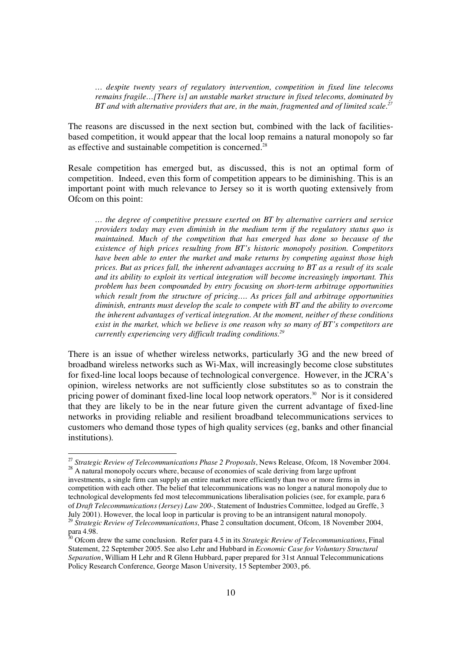*… despite twenty years of regulatory intervention, competition in fixed line telecoms remains fragile…[There is] an unstable market structure in fixed telecoms, dominated by BT and with alternative providers that are, in the main, fragmented and of limited scale. 27*

The reasons are discussed in the next section but, combined with the lack of facilitiesbased competition, it would appear that the local loop remains a natural monopoly so far as effective and sustainable competition is concerned.<sup>28</sup>

Resale competition has emerged but, as discussed, this is not an optimal form of competition. Indeed, even this form of competition appears to be diminishing. This is an important point with much relevance to Jersey so it is worth quoting extensively from Ofcom on this point:

*… the degree of competitive pressure exerted on BT by alternative carriers and service providers today may even diminish in the medium term if the regulatory status quo is maintained. Much of the competition that has emerged has done so because of the existence of high prices resulting from BT's historic monopoly position. Competitors have been able to enter the market and make returns by competing against those high prices. But as prices fall, the inherent advantages accruing to BT as a result of its scale and its ability to exploit its vertical integration will become increasingly important. This problem has been compounded by entry focusing on short-term arbitrage opportunities which result from the structure of pricing…. As prices fall and arbitrage opportunities diminish, entrants must develop the scale to compete with BT and the ability to overcome the inherent advantages of vertical integration. At the moment, neither of these conditions exist in the market, which we believe is one reason why so many of BT's competitors are currently experiencing very difficult trading conditions. 29*

There is an issue of whether wireless networks, particularly 3G and the new breed of broadband wireless networks such as Wi-Max, will increasingly become close substitutes for fixed-line local loops because of technological convergence. However, in the JCRA's opinion, wireless networks are not sufficiently close substitutes so as to constrain the pricing power of dominant fixed-line local loop network operators. <sup>30</sup> Nor is it considered that they are likely to be in the near future given the current advantage of fixed-line networks in providing reliable and resilient broadband telecommunications services to customers who demand those types of high quality services (eg, banks and other financial institutions).

<sup>27</sup> *Strategic Review of Telecommunications Phase 2 Proposals*, News Release, Ofcom, 18 November 2004. <sup>28</sup> A natural monopoly occurs where, because of economies of scale deriving from large upfront

investments, a single firm can supply an entire market more efficiently than two or more firms in competition with each other. The belief that telecommunications was no longer a natural monopoly due to technological developments fed most telecommunications liberalisation policies (see, for example, para 6 of *Draft Telecommunications (Jersey) Law 200-*, Statement of Industries Committee, lodged au Greffe, 3 July 2001). However, the local loop in particular is proving to be an intransigent natural monopoly. 29 *Strategic Review of Telecommunications*, Phase 2 consultation document, Ofcom, 18 November 2004,

para 4.98.

<sup>30</sup> Ofcom drew the same conclusion. Refer para 4.5 in its *Strategic Review of Telecommunications*, Final Statement, 22 September 2005. See also Lehr and Hubbard in *Economic Case for Voluntary Structural Separation*, William H Lehr and R Glenn Hubbard, paper prepared for 31st Annual Telecommunications Policy Research Conference, George Mason University, 15 September 2003, p6.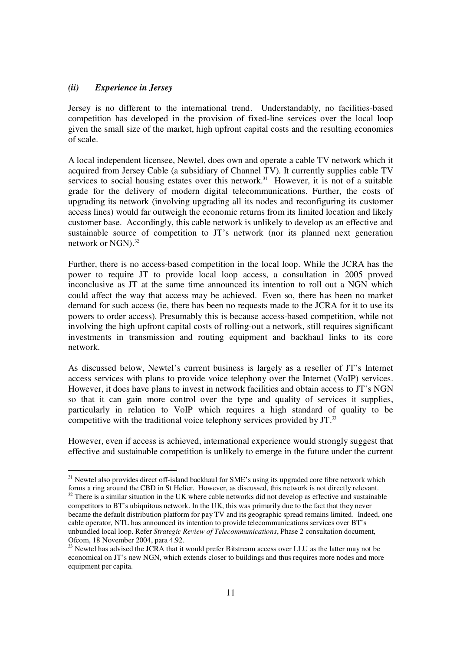#### *(ii) Experience in Jersey*

Jersey is no different to the international trend. Understandably, no facilities-based competition has developed in the provision of fixed-line services over the local loop given the small size of the market, high upfront capital costs and the resulting economies of scale.

A local independent licensee, Newtel, does own and operate a cable TV network which it acquired from Jersey Cable (a subsidiary of Channel TV). It currently supplies cable TV services to social housing estates over this network. <sup>31</sup> However, it is not of a suitable grade for the delivery of modern digital telecommunications. Further, the costs of upgrading its network (involving upgrading all its nodes and reconfiguring its customer access lines) would far outweigh the economic returns from its limited location and likely customer base. Accordingly, this cable network is unlikely to develop as an effective and sustainable source of competition to JT's network (nor its planned next generation network or NGN). 32

Further, there is no access-based competition in the local loop. While the JCRA has the power to require JT to provide local loop access, a consultation in 2005 proved inconclusive as JT at the same time announced its intention to roll out a NGN which could affect the way that access may be achieved. Even so, there has been no market demand for such access (ie, there has been no requests made to the JCRA for it to use its powers to order access). Presumably this is because access-based competition, while not involving the high upfront capital costs of rolling-out a network, still requires significant investments in transmission and routing equipment and backhaul links to its core network.

As discussed below, Newtel's current business is largely as a reseller of JT's Internet access services with plans to provide voice telephony over the Internet (VoIP) services. However, it does have plans to invest in network facilities and obtain access to JT's NGN so that it can gain more control over the type and quality of services it supplies, particularly in relation to VoIP which requires a high standard of quality to be competitive with the traditional voice telephony services provided by JT. 33

However, even if access is achieved, international experience would strongly suggest that effective and sustainable competition is unlikely to emerge in the future under the current

<sup>&</sup>lt;sup>31</sup> Newtel also provides direct off-island backhaul for SME's using its upgraded core fibre network which forms a ring around the CBD in St Helier. However, as discussed, this network is not directly relevant.

 $32$  There is a similar situation in the UK where cable networks did not develop as effective and sustainable competitors to BT's ubiquitous network. In the UK, this was primarily due to the fact that they never became the default distribution platform for pay TV and its geographic spread remains limited. Indeed, one cable operator, NTL has announced its intention to provide telecommunications services over BT's unbundled local loop. Refer *Strategic Review of Telecommunications*, Phase 2 consultation document, Ofcom, 18 November 2004, para 4.92.

 $33$  Newtel has advised the JCRA that it would prefer Bitstream access over LLU as the latter may not be economical on JT's new NGN, which extends closer to buildings and thus requires more nodes and more equipment per capita.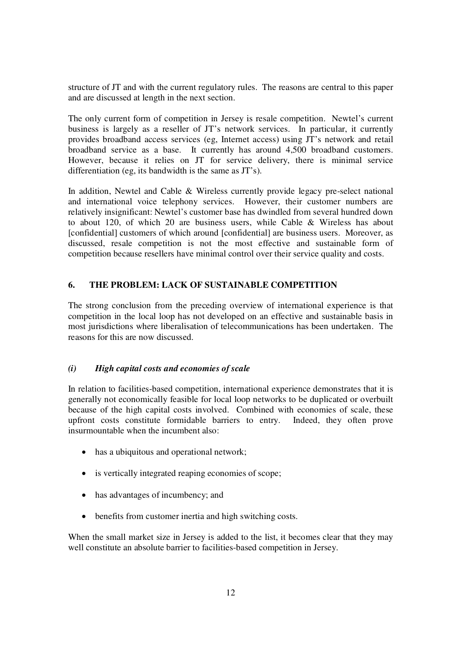structure of JT and with the current regulatory rules. The reasons are central to this paper and are discussed at length in the next section.

The only current form of competition in Jersey is resale competition. Newtel's current business is largely as a reseller of JT's network services. In particular, it currently provides broadband access services (eg, Internet access) using JT's network and retail broadband service as a base. It currently has around 4,500 broadband customers. However, because it relies on JT for service delivery, there is minimal service differentiation (eg, its bandwidth is the same as JT's).

In addition, Newtel and Cable & Wireless currently provide legacy pre-select national and international voice telephony services. However, their customer numbers are relatively insignificant: Newtel's customer base has dwindled from several hundred down to about 120, of which 20 are business users, while Cable & Wireless has about [confidential] customers of which around [confidential] are business users. Moreover, as discussed, resale competition is not the most effective and sustainable form of competition because resellers have minimal control over their service quality and costs.

## **6. THE PROBLEM: LACK OF SUSTAINABLE COMPETITION**

The strong conclusion from the preceding overview of international experience is that competition in the local loop has not developed on an effective and sustainable basis in most jurisdictions where liberalisation of telecommunications has been undertaken. The reasons for this are now discussed.

## *(i) High capital costs and economies of scale*

In relation to facilities-based competition, international experience demonstrates that it is generally not economically feasible for local loop networks to be duplicated or overbuilt because of the high capital costs involved. Combined with economies of scale, these upfront costs constitute formidable barriers to entry. Indeed, they often prove insurmountable when the incumbent also:

- has a ubiquitous and operational network;
- is vertically integrated reaping economies of scope;
- has advantages of incumbency; and
- benefits from customer inertia and high switching costs.

When the small market size in Jersey is added to the list, it becomes clear that they may well constitute an absolute barrier to facilities-based competition in Jersey.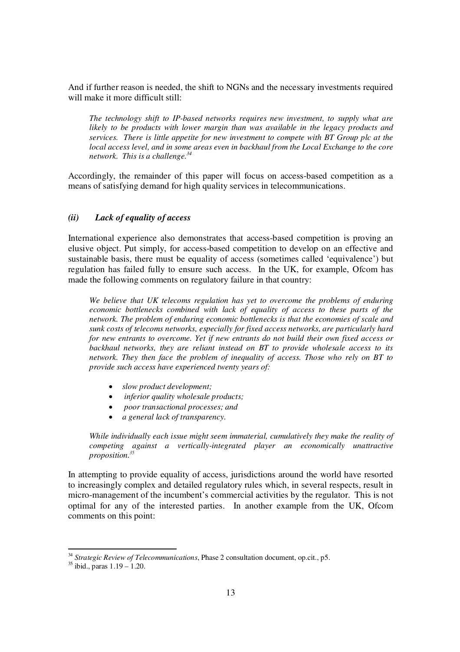And if further reason is needed, the shift to NGNs and the necessary investments required will make it more difficult still:

*The technology shift to IP-based networks requires new investment, to supply what are likely to be products with lower margin than was available in the legacy products and services. There is little appetite for new investment to compete with BT Group plc at the local access level, and in some areas even in backhaul from the Local Exchange to the core network. This is a challenge. 34*

Accordingly, the remainder of this paper will focus on access-based competition as a means of satisfying demand for high quality services in telecommunications.

## *(ii) Lack of equality of access*

International experience also demonstrates that access-based competition is proving an elusive object. Put simply, for access-based competition to develop on an effective and sustainable basis, there must be equality of access (sometimes called 'equivalence') but regulation has failed fully to ensure such access. In the UK, for example, Ofcom has made the following comments on regulatory failure in that country:

*We believe that UK telecoms regulation has yet to overcome the problems of enduring economic bottlenecks combined with lack of equality of access to these parts of the network. The problem of enduring economic bottlenecks is that the economies of scale and sunk costs of telecoms networks, especially for fixed access networks, are particularly hard for new entrants to overcome. Yet if new entrants do not build their own fixed access or backhaul networks, they are reliant instead on BT to provide wholesale access to its network. They then face the problem of inequality of access. Those who rely on BT to provide such access have experienced twenty years of:*

- *slow product development;*
- $\bullet$ *inferior quality wholesale products;*
- $\bullet$ *poor transactional processes; and*
- $\bullet$ *a general lack of transparency.*

*While individually each issue might seem immaterial, cumulatively they make the reality of competing against a vertically-integrated player an economically unattractive proposition. 35*

In attempting to provide equality of access, jurisdictions around the world have resorted to increasingly complex and detailed regulatory rules which, in several respects, result in micro-management of the incumbent's commercial activities by the regulator. This is not optimal for any of the interested parties. In another example from the UK, Ofcom comments on this point:

<sup>34</sup> *Strategic Review of Telecommunications*, Phase 2 consultation document, op.cit., p5.

<sup>35</sup> ibid., paras 1.19 – 1.20.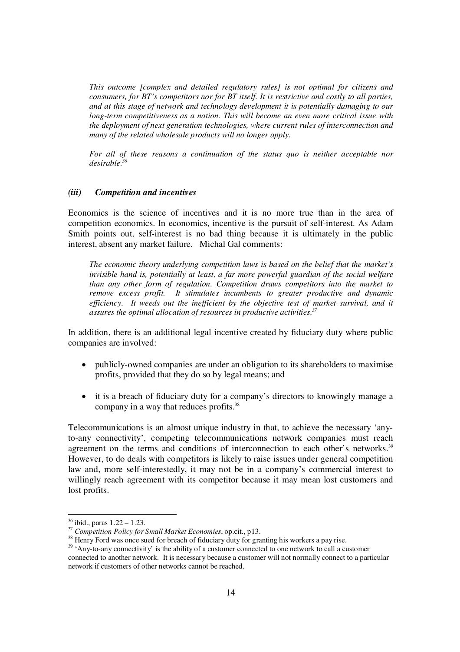*This outcome [complex and detailed regulatory rules] is not optimal for citizens and consumers, for BT's competitors nor for BT itself. It is restrictive and costly to all parties, and at this stage of network and technology development it is potentially damaging to our long-term competitiveness as a nation. This will become an even more critical issue with the deployment of next generation technologies, where current rules of interconnection and many of the related wholesale products will no longer apply.*

*For all of these reasons a continuation of the status quo is neither acceptable nor desirable. 36*

#### *(iii) Competition and incentives*

Economics is the science of incentives and it is no more true than in the area of competition economics. In economics, incentive is the pursuit of self-interest. As Adam Smith points out, self-interest is no bad thing because it is ultimately in the public interest, absent any market failure. Michal Gal comments:

*The economic theory underlying competition laws is based on the belief that the market's invisible hand is, potentially at least, a far more powerful guardian of the social welfare than any other form of regulation. Competition draws competitors into the market to remove excess profit. It stimulates incumbents to greater productive and dynamic efficiency. It weeds out the inefficient by the objective test of market survival, and it assures the optimal allocation of resources in productive activities. 37*

In addition, there is an additional legal incentive created by fiduciary duty where public companies are involved:

- $\bullet$  publicly-owned companies are under an obligation to its shareholders to maximise profits, provided that they do so by legal means; and
- $\bullet$  it is a breach of fiduciary duty for a company's directors to knowingly manage a company in a way that reduces profits.<sup>38</sup>

Telecommunications is an almost unique industry in that, to achieve the necessary 'anyto-any connectivity', competing telecommunications network companies must reach agreement on the terms and conditions of interconnection to each other's networks.<sup>39</sup> However, to do deals with competitors is likely to raise issues under general competition law and, more self-interestedly, it may not be in a company's commercial interest to willingly reach agreement with its competitor because it may mean lost customers and lost profits.

<sup>36</sup> ibid., paras 1.22 – 1.23.

<sup>37</sup> *Competition Policy for Small Market Economies*, op.cit., p13.

<sup>&</sup>lt;sup>38</sup> Henry Ford was once sued for breach of fiduciary duty for granting his workers a pay rise.

<sup>&</sup>lt;sup>39</sup> 'Any-to-any connectivity' is the ability of a customer connected to one network to call a customer connected to another network. It is necessary because a customer will not normally connect to a particular network if customers of other networks cannot be reached.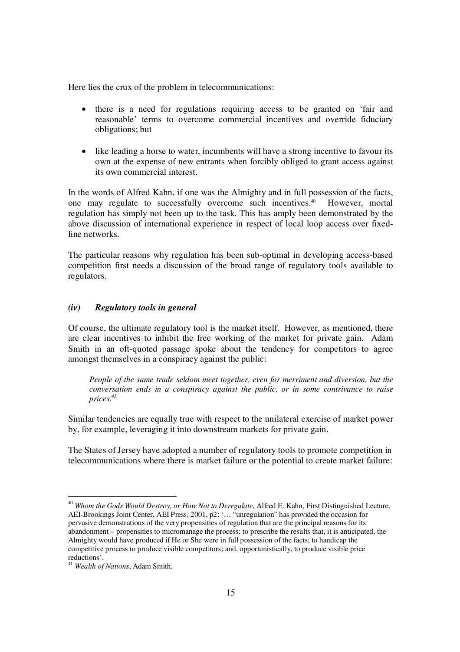Here lies the crux of the problem in telecommunications:

- there is a need for regulations requiring access to be granted on 'fair and reasonable' terms to overcome commercial incentives and override fiduciary obligations; but
- like leading a horse to water, incumbents will have a strong incentive to favour its own at the expense of new entrants when forcibly obliged to grant access against its own commercial interest.

In the words of Alfred Kahn, if one was the Almighty and in full possession of the facts, one may regulate to successfully overcome such incentives. However, mortal regulation has simply not been up to the task. This has amply been demonstrated by the above discussion of international experience in respect of local loop access over fixedline networks.

The particular reasons why regulation has been sub-optimal in developing access-based competition first needs a discussion of the broad range of regulatory tools available to regulators.

#### *(iv) Regulatory tools in general*

Of course, the ultimate regulatory tool is the market itself. However, as mentioned, there are clear incentives to inhibit the free working of the market for private gain. Adam Smith in an oft-quoted passage spoke about the tendency for competitors to agree amongst themselves in a conspiracy against the public:

*People of the same trade seldom meet together, even for merriment and diversion, but the conversation ends in a conspiracy against the public, or in some contrivance to raise prices. 41*

Similar tendencies are equally true with respect to the unilateral exercise of market power by, for example, leveraging it into downstream markets for private gain.

The States of Jersey have adopted a number of regulatory tools to promote competition in telecommunications where there is market failure or the potential to create market failure:

<sup>40</sup> *Whom the Gods Would Destroy, or How Not to Deregulate*, Alfred E. Kahn, First Distinguished Lecture, AEI-Brookings Joint Center, AEI Press, 2001, p2: '… "unregulation" has provided the occasion for pervasive demonstrations of the very propensities of regulation that are the principal reasons for its abandonment – propensities to micromanage the process; to prescribe the results that, it is anticipated, the Almighty would have produced if He or She were in full possession of the facts; to handicap the competitive process to produce visible competitors; and, opportunistically, to produce visible price reductions'.

<sup>41</sup> *Wealth of Nations*, Adam Smith.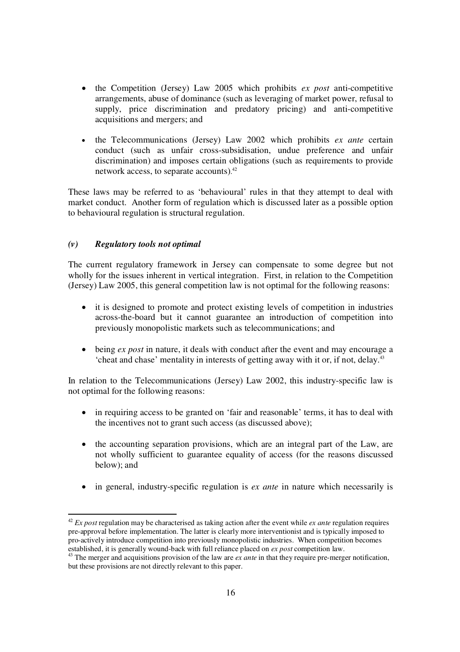- the Competition (Jersey) Law 2005 which prohibits *ex post* anti-competitive arrangements, abuse of dominance (such as leveraging of market power, refusal to supply, price discrimination and predatory pricing) and anti-competitive acquisitions and mergers; and
- $\bullet$  the Telecommunications (Jersey) Law 2002 which prohibits *ex ante* certain conduct (such as unfair cross-subsidisation, undue preference and unfair discrimination) and imposes certain obligations (such as requirements to provide network access, to separate accounts).<sup>42</sup>

These laws may be referred to as 'behavioural' rules in that they attempt to deal with market conduct. Another form of regulation which is discussed later as a possible option to behavioural regulation is structural regulation.

## *(v) Regulatory tools not optimal*

The current regulatory framework in Jersey can compensate to some degree but not wholly for the issues inherent in vertical integration. First, in relation to the Competition (Jersey) Law 2005, this general competition law is not optimal for the following reasons:

- it is designed to promote and protect existing levels of competition in industries across-the-board but it cannot guarantee an introduction of competition into previously monopolistic markets such as telecommunications; and
- being *ex post* in nature, it deals with conduct after the event and may encourage a 'cheat and chase' mentality in interests of getting away with it or, if not, delay. 43

In relation to the Telecommunications (Jersey) Law 2002, this industry-specific law is not optimal for the following reasons:

- in requiring access to be granted on 'fair and reasonable' terms, it has to deal with the incentives not to grant such access (as discussed above);
- the accounting separation provisions, which are an integral part of the Law, are not wholly sufficient to guarantee equality of access (for the reasons discussed below); and
- in general, industry-specific regulation is *ex ante* in nature which necessarily is

<sup>42</sup> *Ex post* regulation may be characterised as taking action after the event while *ex ante* regulation requires pre-approval before implementation. The latter is clearly more interventionist and is typically imposed to pro-actively introduce competition into previously monopolistic industries. When competition becomes established, it is generally wound-back with full reliance placed on *ex post* competition law.

<sup>43</sup> The merger and acquisitions provision of the law are *ex ante* in that they require pre-merger notification, but these provisions are not directly relevant to this paper.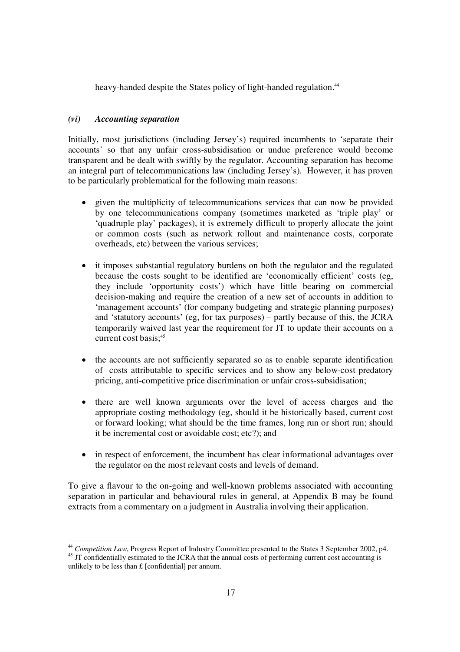heavy-handed despite the States policy of light-handed regulation.<sup>44</sup>

## *(vi) Accounting separation*

Initially, most jurisdictions (including Jersey's) required incumbents to 'separate their accounts' so that any unfair cross-subsidisation or undue preference would become transparent and be dealt with swiftly by the regulator. Accounting separation has become an integral part of telecommunications law (including Jersey's). However, it has proven to be particularly problematical for the following main reasons:

- given the multiplicity of telecommunications services that can now be provided by one telecommunications company (sometimes marketed as 'triple play' or 'quadruple play' packages), it is extremely difficult to properly allocate the joint or common costs (such as network rollout and maintenance costs, corporate overheads, etc) between the various services;
- it imposes substantial regulatory burdens on both the regulator and the regulated because the costs sought to be identified are 'economically efficient' costs (eg, they include 'opportunity costs') which have little bearing on commercial decision-making and require the creation of a new set of accounts in addition to 'management accounts' (for company budgeting and strategic planning purposes) and 'statutory accounts' (eg, for tax purposes) – partly because of this, the JCRA temporarily waived last year the requirement for JT to update their accounts on a current cost basis; 45
- the accounts are not sufficiently separated so as to enable separate identification of costs attributable to specific services and to show any below-cost predatory pricing, anti-competitive price discrimination or unfair cross-subsidisation;
- $\bullet$  there are well known arguments over the level of access charges and the appropriate costing methodology (eg, should it be historically based, current cost or forward looking; what should be the time frames, long run or short run; should it be incremental cost or avoidable cost; etc?); and
- in respect of enforcement, the incumbent has clear informational advantages over the regulator on the most relevant costs and levels of demand.

To give a flavour to the on-going and well-known problems associated with accounting separation in particular and behavioural rules in general, at Appendix B may be found extracts from a commentary on a judgment in Australia involving their application.

<sup>&</sup>lt;sup>44</sup> Competition Law, Progress Report of Industry Committee presented to the States 3 September 2002, p4.

<sup>&</sup>lt;sup>45</sup> JT confidentially estimated to the JCRA that the annual costs of performing current cost accounting is unlikely to be less than £ [confidential] per annum.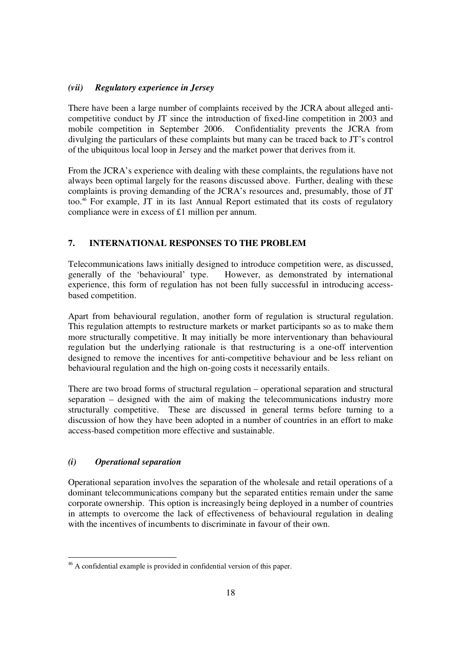## *(vii) Regulatory experience in Jersey*

There have been a large number of complaints received by the JCRA about alleged anticompetitive conduct by JT since the introduction of fixed-line competition in 2003 and mobile competition in September 2006. Confidentiality prevents the JCRA from divulging the particulars of these complaints but many can be traced back to JT's control of the ubiquitous local loop in Jersey and the market power that derives from it.

From the JCRA's experience with dealing with these complaints, the regulations have not always been optimal largely for the reasons discussed above. Further, dealing with these complaints is proving demanding of the JCRA's resources and, presumably, those of JT too. <sup>46</sup> For example, JT in its last Annual Report estimated that its costs of regulatory compliance were in excess of £1 million per annum.

## **7. INTERNATIONAL RESPONSES TO THE PROBLEM**

Telecommunications laws initially designed to introduce competition were, as discussed, generally of the 'behavioural' type. However, as demonstrated by international experience, this form of regulation has not been fully successful in introducing accessbased competition.

Apart from behavioural regulation, another form of regulation is structural regulation. This regulation attempts to restructure markets or market participants so as to make them more structurally competitive. It may initially be more interventionary than behavioural regulation but the underlying rationale is that restructuring is a one-off intervention designed to remove the incentives for anti-competitive behaviour and be less reliant on behavioural regulation and the high on-going costs it necessarily entails.

There are two broad forms of structural regulation – operational separation and structural separation – designed with the aim of making the telecommunications industry more structurally competitive. These are discussed in general terms before turning to a discussion of how they have been adopted in a number of countries in an effort to make access-based competition more effective and sustainable.

## *(i) Operational separation*

Operational separation involves the separation of the wholesale and retail operations of a dominant telecommunications company but the separated entities remain under the same corporate ownership. This option is increasingly being deployed in a number of countries in attempts to overcome the lack of effectiveness of behavioural regulation in dealing with the incentives of incumbents to discriminate in favour of their own.

<sup>46</sup> A confidential example is provided in confidential version of this paper.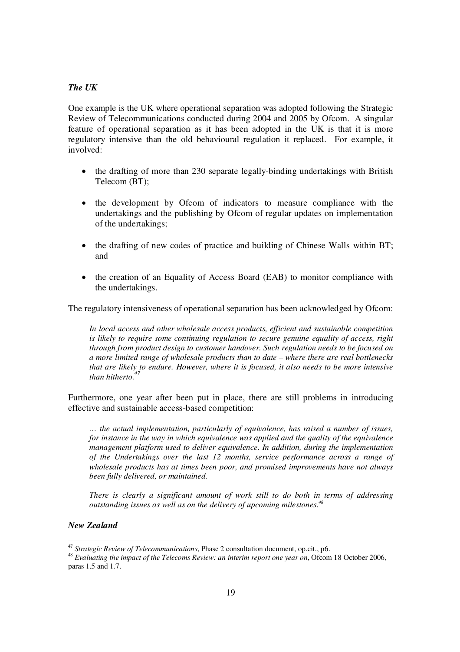## *The UK*

One example is the UK where operational separation was adopted following the Strategic Review of Telecommunications conducted during 2004 and 2005 by Ofcom. A singular feature of operational separation as it has been adopted in the UK is that it is more regulatory intensive than the old behavioural regulation it replaced. For example, it involved:

- the drafting of more than 230 separate legally-binding undertakings with British Telecom (BT);
- the development by Ofcom of indicators to measure compliance with the undertakings and the publishing by Ofcom of regular updates on implementation of the undertakings;
- $\bullet$  the drafting of new codes of practice and building of Chinese Walls within BT; and
- $\bullet$  the creation of an Equality of Access Board (EAB) to monitor compliance with the undertakings.

The regulatory intensiveness of operational separation has been acknowledged by Ofcom:

*In local access and other wholesale access products, efficient and sustainable competition is likely to require some continuing regulation to secure genuine equality of access, right through from product design to customer handover. Such regulation needs to be focused on a more limited range of wholesale products than to date – where there are real bottlenecks that are likely to endure. However, where it is focused, it also needs to be more intensive than hitherto. 47*

Furthermore, one year after been put in place, there are still problems in introducing effective and sustainable access-based competition:

*… the actual implementation, particularly of equivalence, has raised a number of issues, for instance in the way in which equivalence was applied and the quality of the equivalence management platform used to deliver equivalence. In addition, during the implementation of the Undertakings over the last 12 months, service performance across a range of wholesale products has at times been poor, and promised improvements have not always been fully delivered, or maintained.*

*There is clearly a significant amount of work still to do both in terms of addressing outstanding issues as well as on the delivery of upcoming milestones. 48*

## *New Zealand*

<sup>47</sup> *Strategic Review of Telecommunications*, Phase 2 consultation document, op.cit., p6.

<sup>48</sup> *Evaluating the impact of the Telecoms Review: an interim report one year on*, Ofcom 18 October 2006, paras 1.5 and 1.7.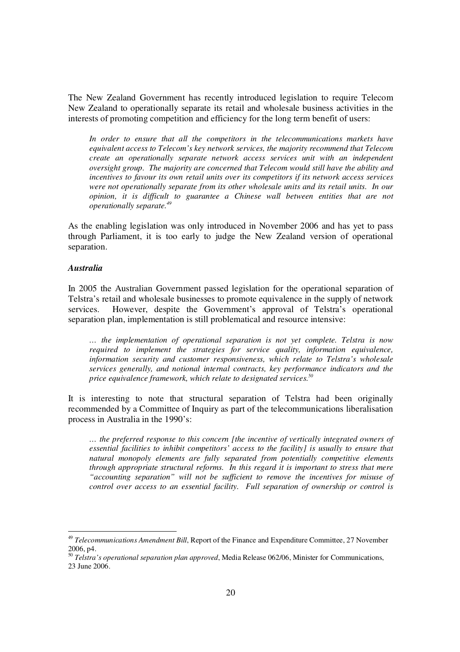The New Zealand Government has recently introduced legislation to require Telecom New Zealand to operationally separate its retail and wholesale business activities in the interests of promoting competition and efficiency for the long term benefit of users:

*In order to ensure that all the competitors in the telecommunications markets have equivalent access to Telecom's key network services, the majority recommend that Telecom create an operationally separate network access services unit with an independent oversight group. The majority are concerned that Telecom would still have the ability and incentives to favour its own retail units over its competitors if its network access services were not operationally separate from its other wholesale units and its retail units. In our opinion, it is difficult to guarantee a Chinese wall between entities that are not operationally separate. 49*

As the enabling legislation was only introduced in November 2006 and has yet to pass through Parliament, it is too early to judge the New Zealand version of operational separation.

#### *Australia*

In 2005 the Australian Government passed legislation for the operational separation of Telstra's retail and wholesale businesses to promote equivalence in the supply of network services. However, despite the Government's approval of Telstra's operational separation plan, implementation is still problematical and resource intensive:

*… the implementation of operational separation is not yet complete. Telstra is now required to implement the strategies for service quality, information equivalence, information security and customer responsiveness, which relate to Telstra's wholesale services generally, and notional internal contracts, key performance indicators and the price equivalence framework, which relate to designated services. 50*

It is interesting to note that structural separation of Telstra had been originally recommended by a Committee of Inquiry as part of the telecommunications liberalisation process in Australia in the 1990's:

*… the preferred response to this concern [the incentive of vertically integrated owners of essential facilities to inhibit competitors' access to the facility] is usually to ensure that natural monopoly elements are fully separated from potentially competitive elements through appropriate structural reforms. In this regard it is important to stress that mere "accounting separation" will not be suf icient to remove the incentives for misuse of control over access to an essential facility. Full separation of ownership or control is*

<sup>49</sup> *Telecommunications Amendment Bill*, Report of the Finance and Expenditure Committee, 27 November 2006, p4.

<sup>50</sup> *Telstra's operational separation plan approved*, Media Release 062/06, Minister for Communications, 23 June 2006.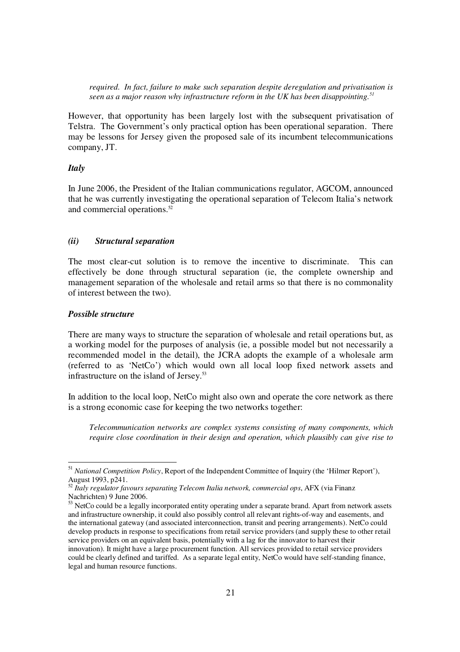*required. In fact, failure to make such separation despite deregulation and privatisation is seen as a major reason why infrastructure reform in the UK has been disappointing. 51*

However, that opportunity has been largely lost with the subsequent privatisation of Telstra. The Government's only practical option has been operational separation. There may be lessons for Jersey given the proposed sale of its incumbent telecommunications company, JT.

#### *Italy*

In June 2006, the President of the Italian communications regulator, AGCOM, announced that he was currently investigating the operational separation of Telecom Italia's network and commercial operations. 52

#### *(ii) Structural separation*

The most clear-cut solution is to remove the incentive to discriminate. This can effectively be done through structural separation (ie, the complete ownership and management separation of the wholesale and retail arms so that there is no commonality of interest between the two).

#### *Possible structure*

There are many ways to structure the separation of wholesale and retail operations but, as a working model for the purposes of analysis (ie, a possible model but not necessarily a recommended model in the detail), the JCRA adopts the example of a wholesale arm (referred to as 'NetCo') which would own all local loop fixed network assets and infrastructure on the island of Jersey. 53

In addition to the local loop, NetCo might also own and operate the core network as there is a strong economic case for keeping the two networks together:

*Telecommunication networks are complex systems consisting of many components, which require close coordination in their design and operation, which plausibly can give rise to*

<sup>51</sup> *National Competition Policy*, Report of the Independent Committee of Inquiry (the 'Hilmer Report'), August 1993, p241.

<sup>52</sup> *Italy regulator favours separating Telecom Italia network, commercial ops*, AFX (via Finanz Nachrichten) 9 June 2006.

<sup>&</sup>lt;sup>53</sup> NetCo could be a legally incorporated entity operating under a separate brand. Apart from network assets and infrastructure ownership, it could also possibly control all relevant rights-of-way and easements, and the international gateway (and associated interconnection, transit and peering arrangements). NetCo could develop products in response to specifications from retail service providers (and supply these to other retail service providers on an equivalent basis, potentially with a lag for the innovator to harvest their innovation). It might have a large procurement function. All services provided to retail service providers could be clearly defined and tariffed. As a separate legal entity, NetCo would have self-standing finance, legal and human resource functions.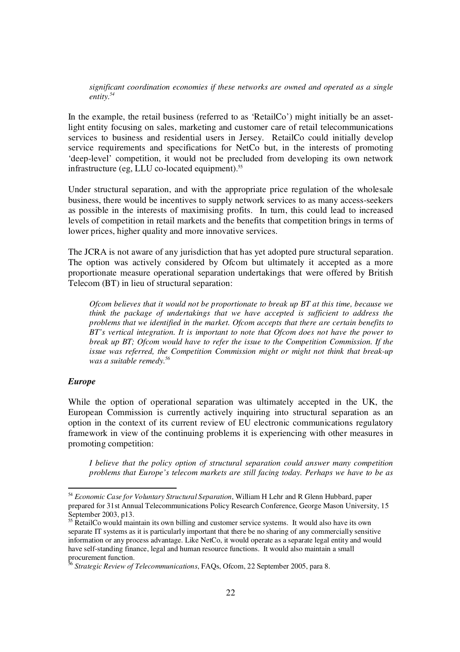*significant coordination economies if these networks are owned and operated as a single entity. 54*

In the example, the retail business (referred to as 'RetailCo') might initially be an assetlight entity focusing on sales, marketing and customer care of retail telecommunications services to business and residential users in Jersey. RetailCo could initially develop service requirements and specifications for NetCo but, in the interests of promoting 'deep-level' competition, it would not be precluded from developing its own network infrastructure (eg, LLU co-located equipment). 55

Under structural separation, and with the appropriate price regulation of the wholesale business, there would be incentives to supply network services to as many access-seekers as possible in the interests of maximising profits. In turn, this could lead to increased levels of competition in retail markets and the benefits that competition brings in terms of lower prices, higher quality and more innovative services.

The JCRA is not aware of any jurisdiction that has yet adopted pure structural separation. The option was actively considered by Ofcom but ultimately it accepted as a more proportionate measure operational separation undertakings that were offered by British Telecom (BT) in lieu of structural separation:

*Ofcom believes that it would not be proportionate to break up BT at this time, because we think the package of undertakings that we have accepted is sufficient to address the problems that we identified in the market. Ofcom accepts that there are certain benefits to BT's vertical integration. It is important to note that Ofcom does not have the power to break up BT; Ofcom would have to refer the issue to the Competition Commission. If the issue was referred, the Competition Commission might or might not think that break-up was a suitable remedy. 56*

#### *Europe*

While the option of operational separation was ultimately accepted in the UK, the European Commission is currently actively inquiring into structural separation as an option in the context of its current review of EU electronic communications regulatory framework in view of the continuing problems it is experiencing with other measures in promoting competition:

*I believe that the policy option of structural separation could answer many competition problems that Europe's telecom markets are still facing today. Perhaps we have to be as*

<sup>54</sup> *Economic Case for Voluntary Structural Separation*, William H Lehr and R Glenn Hubbard, paper prepared for 31st Annual Telecommunications Policy Research Conference, George Mason University, 15 September 2003, p13.

 $55$  RetailCo would maintain its own billing and customer service systems. It would also have its own separate IT systems as it is particularly important that there be no sharing of any commercially sensitive information or any process advantage. Like NetCo, it would operate as a separate legal entity and would have self-standing finance, legal and human resource functions. It would also maintain a small procurement function.

<sup>56</sup> *Strategic Review of Telecommunications*, FAQs, Ofcom, 22 September 2005, para 8.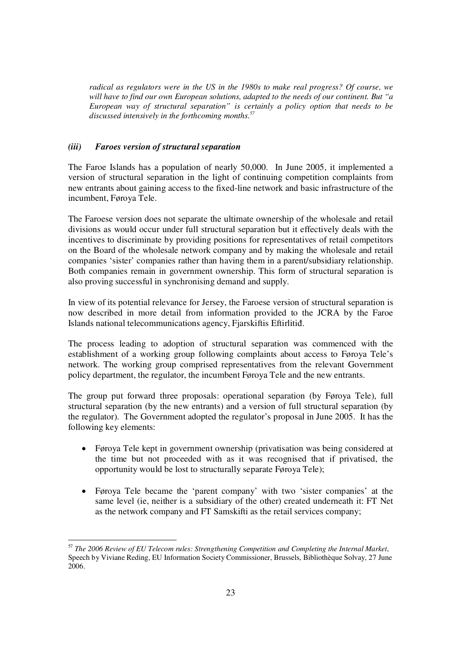*radical as regulators were in the US in the 1980s to make real progress? Of course, we will have to find our own European solutions, adapted to the needs of our continent. But "a European way of structural separation" is certainly a policy option that needs to be discussed intensively in the forthcoming months. 57*

## *(iii) Faroes version of structural separation*

The Faroe Islands has a population of nearly 50,000. In June 2005, it implemented a version of structural separation in the light of continuing competition complaints from new entrants about gaining access to the fixed-line network and basic infrastructure of the incumbent, Føroya Tele.

The Faroese version does not separate the ultimate ownership of the wholesale and retail divisions as would occur under full structural separation but it effectively deals with the incentives to discriminate by providing positions for representatives of retail competitors on the Board of the wholesale network company and by making the wholesale and retail companies 'sister' companies rather than having them in a parent/subsidiary relationship. Both companies remain in government ownership. This form of structural separation is also proving successful in synchronising demand and supply.

In view of its potential relevance for Jersey, the Faroese version of structural separation is now described in more detail from information provided to the JCRA by the Faroe Islands national telecommunications agency, Fjarskiftis Eftirliti.

The process leading to adoption of structural separation was commenced with the establishment of a working group following complaints about access to Føroya Tele's network. The working group comprised representatives from the relevant Government policy department, the regulator, the incumbent Føroya Tele and the new entrants.

The group put forward three proposals: operational separation (by Føroya Tele), full structural separation (by the new entrants) and a version of full structural separation (by the regulator). The Government adopted the regulator's proposal in June 2005. It has the following key elements:

- Føroya Tele kept in government ownership (privatisation was being considered at the time but not proceeded with as it was recognised that if privatised, the opportunity would be lost to structurally separate Føroya Tele);
- Føroya Tele became the 'parent company' with two 'sister companies' at the same level (ie, neither is a subsidiary of the other) created underneath it: FT Net as the network company and FT Samskifti as the retail services company;

<sup>57</sup> *The 2006 Review of EU Telecom rules: Strengthening Competition and Completing the Internal Market*, Speech by Viviane Reding, EU Information Society Commissioner, Brussels, Bibliothèque Solvay, 27 June 2006.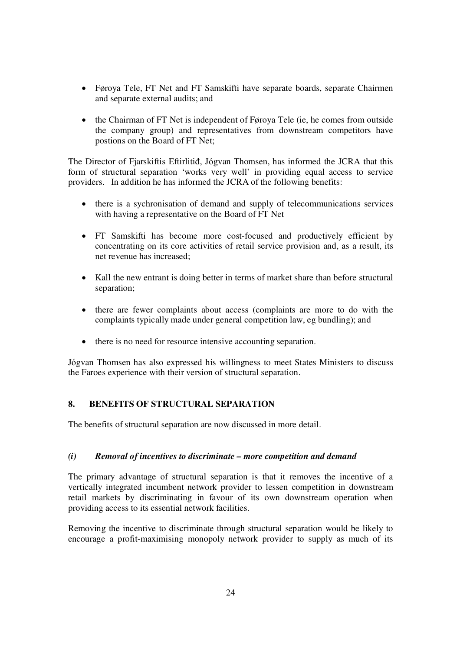- Føroya Tele, FT Net and FT Samskifti have separate boards, separate Chairmen and separate external audits; and
- the Chairman of FT Net is independent of Føroya Tele (ie, he comes from outside the company group) and representatives from downstream competitors have postions on the Board of FT Net;

The Director of Fjarskiftis Eftirlitid, Jógvan Thomsen, has informed the JCRA that this form of structural separation 'works very well' in providing equal access to service providers. In addition he has informed the JCRA of the following benefits:

- there is a sychronisation of demand and supply of telecommunications services with having a representative on the Board of FT Net
- FT Samskifti has become more cost-focused and productively efficient by concentrating on its core activities of retail service provision and, as a result, its net revenue has increased;
- Kall the new entrant is doing better in terms of market share than before structural separation;
- there are fewer complaints about access (complaints are more to do with the complaints typically made under general competition law, eg bundling); and
- there is no need for resource intensive accounting separation.

Jógvan Thomsen has also expressed his willingness to meet States Ministers to discuss the Faroes experience with their version of structural separation.

## **8. BENEFITS OF STRUCTURAL SEPARATION**

The benefits of structural separation are now discussed in more detail.

## *(i) Removal of incentives to discriminate – more competition and demand*

The primary advantage of structural separation is that it removes the incentive of a vertically integrated incumbent network provider to lessen competition in downstream retail markets by discriminating in favour of its own downstream operation when providing access to its essential network facilities.

Removing the incentive to discriminate through structural separation would be likely to encourage a profit-maximising monopoly network provider to supply as much of its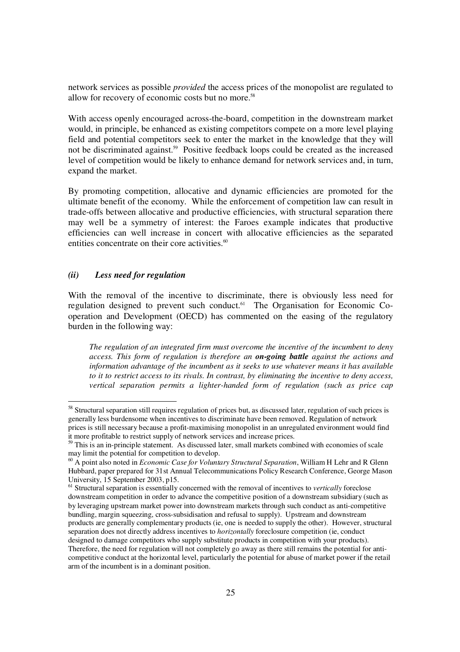network services as possible *provided* the access prices of the monopolist are regulated to allow for recovery of economic costs but no more. 58

With access openly encouraged across-the-board, competition in the downstream market would, in principle, be enhanced as existing competitors compete on a more level playing field and potential competitors seek to enter the market in the knowledge that they will not be discriminated against. <sup>59</sup> Positive feedback loops could be created as the increased level of competition would be likely to enhance demand for network services and, in turn, expand the market.

By promoting competition, allocative and dynamic efficiencies are promoted for the ultimate benefit of the economy. While the enforcement of competition law can result in trade-offs between allocative and productive efficiencies, with structural separation there may well be a symmetry of interest: the Faroes example indicates that productive efficiencies can well increase in concert with allocative efficiencies as the separated entities concentrate on their core activities.<sup>60</sup>

## *(ii) Less need for regulation*

With the removal of the incentive to discriminate, there is obviously less need for regulation designed to prevent such conduct. <sup>61</sup> The Organisation for Economic Cooperation and Development (OECD) has commented on the easing of the regulatory burden in the following way:

*The regulation of an integrated firm must overcome the incentive of the incumbent to deny access. This form of regulation is therefore an on-going battle against the actions and information advantage of the incumbent as it seeks to use whatever means it has available to it to restrict access to its rivals. In contrast, by eliminating the incentive to deny access, vertical separation permits a lighter-handed form of regulation (such as price cap*

<sup>&</sup>lt;sup>58</sup> Structural separation still requires regulation of prices but, as discussed later, regulation of such prices is generally less burdensome when incentives to discriminate have been removed. Regulation of network prices is still necessary because a profit-maximising monopolist in an unregulated environment would find

it more profitable to restrict supply of network services and increase prices. 59 This is an in-principle statement. As discussed later, small markets combined with economies of scale may limit the potential for competition to develop.

<sup>60</sup> A point also noted in *Economic Case for Voluntary Structural Separation*, William H Lehr and R Glenn Hubbard, paper prepared for 31st Annual Telecommunications Policy Research Conference, George Mason University, 15 September 2003, p15.

<sup>&</sup>lt;sup>61</sup> Structural separation is essentially concerned with the removal of incentives to *vertically* foreclose downstream competition in order to advance the competitive position of a downstream subsidiary (such as by leveraging upstream market power into downstream markets through such conduct as anti-competitive bundling, margin squeezing, cross-subsidisation and refusal to supply). Upstream and downstream products are generally complementary products (ie, one is needed to supply the other). However, structural separation does not directly address incentives to *horizontally* foreclosure competition (ie, conduct designed to damage competitors who supply substitute products in competition with your products). Therefore, the need for regulation will not completely go away as there still remains the potential for anticompetitive conduct at the horizontal level, particularly the potential for abuse of market power if the retail arm of the incumbent is in a dominant position.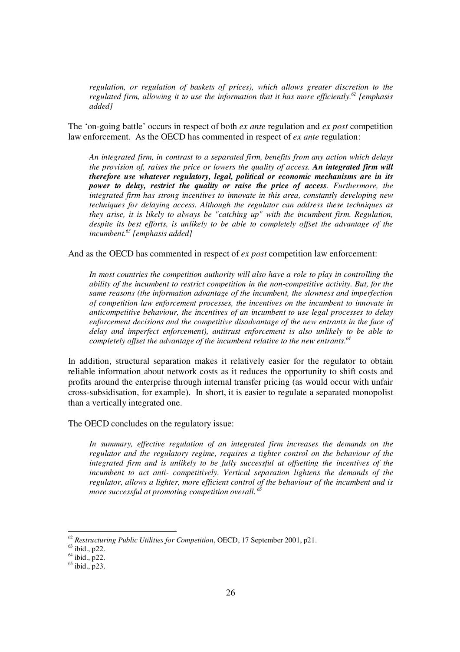*regulation, or regulation of baskets of prices), which allows greater discretion to the regulated firm, allowing it to use the information that it has more efficiently. 62 [emphasis added]*

The 'on-going battle' occurs in respect of both *ex ante* regulation and *ex post* competition law enforcement. As the OECD has commented in respect of *ex ante* regulation:

*An integrated firm, in contrast to a separated firm, benefits from any action which delays the provision of, raises the price or lowers the quality of access. An integrated firm will therefore use whatever regulatory, legal, political or economic mechanisms are in its power to delay, restrict the quality or raise the price of access. Furthermore, the integrated firm has strong incentives to innovate in this area, constantly developing new techniques for delaying access. Although the regulator can address these techniques as they arise, it is likely to always be "catching up" with the incumbent firm. Regulation, despite its best efforts, is unlikely to be able to completely offset the advantage of the incumbent. 63 [emphasis added]*

And as the OECD has commented in respect of *ex post* competition law enforcement:

*In most countries the competition authority will also have a role to play in controlling the ability of the incumbent to restrict competition in the non-competitive activity. But, for the same reasons (the information advantage of the incumbent, the slowness and imperfection of competition law enforcement processes, the incentives on the incumbent to innovate in anticompetitive behaviour, the incentives of an incumbent to use legal processes to delay enforcement decisions and the competitive disadvantage of the new entrants in the face of delay and imperfect enforcement), antitrust enforcement is also unlikely to be able to completely offset the advantage of the incumbent relative to the new entrants. 64*

In addition, structural separation makes it relatively easier for the regulator to obtain reliable information about network costs as it reduces the opportunity to shift costs and profits around the enterprise through internal transfer pricing (as would occur with unfair cross-subsidisation, for example). In short, it is easier to regulate a separated monopolist than a vertically integrated one.

The OECD concludes on the regulatory issue:

*In summary, effective regulation of an integrated firm increases the demands on the regulator and the regulatory regime, requires a tighter control on the behaviour of the integrated firm and is unlikely to be fully successful at offsetting the incentives of the incumbent to act anti- competitively. Vertical separation lightens the demands of the regulator, allows a lighter, more efficient control of the behaviour of the incumbent and is more successful at promoting competition overall. 65*

<sup>62</sup> *Restructuring Public Utilities for Competition*, OECD, 17 September 2001, p21.

 $63$  ibid., p22.

 $<sup>64</sup>$  ibid., p22.</sup>

 $^{65}$  ibid., p23.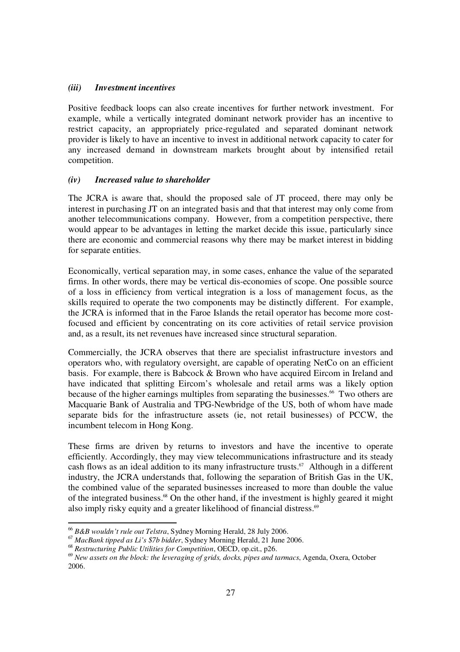## *(iii) Investment incentives*

Positive feedback loops can also create incentives for further network investment. For example, while a vertically integrated dominant network provider has an incentive to restrict capacity, an appropriately price-regulated and separated dominant network provider is likely to have an incentive to invest in additional network capacity to cater for any increased demand in downstream markets brought about by intensified retail competition.

## *(iv) Increased value to shareholder*

The JCRA is aware that, should the proposed sale of JT proceed, there may only be interest in purchasing JT on an integrated basis and that that interest may only come from another telecommunications company. However, from a competition perspective, there would appear to be advantages in letting the market decide this issue, particularly since there are economic and commercial reasons why there may be market interest in bidding for separate entities.

Economically, vertical separation may, in some cases, enhance the value of the separated firms. In other words, there may be vertical dis-economies of scope. One possible source of a loss in efficiency from vertical integration is a loss of management focus, as the skills required to operate the two components may be distinctly different. For example, the JCRA is informed that in the Faroe Islands the retail operator has become more costfocused and efficient by concentrating on its core activities of retail service provision and, as a result, its net revenues have increased since structural separation.

Commercially, the JCRA observes that there are specialist infrastructure investors and operators who, with regulatory oversight, are capable of operating NetCo on an efficient basis. For example, there is Babcock & Brown who have acquired Eircom in Ireland and have indicated that splitting Eircom's wholesale and retail arms was a likely option because of the higher earnings multiples from separating the businesses.<sup>66</sup> Two others are Macquarie Bank of Australia and TPG-Newbridge of the US, both of whom have made separate bids for the infrastructure assets (ie, not retail businesses) of PCCW, the incumbent telecom in Hong Kong.

These firms are driven by returns to investors and have the incentive to operate efficiently. Accordingly, they may view telecommunications infrastructure and its steady cash flows as an ideal addition to its many infrastructure trusts.<sup>67</sup> Although in a different industry, the JCRA understands that, following the separation of British Gas in the UK, the combined value of the separated businesses increased to more than double the value of the integrated business. <sup>68</sup> On the other hand, if the investment is highly geared it might also imply risky equity and a greater likelihood of financial distress. 69

<sup>66</sup> *B&B wouldn't rule out Telstra*, Sydney Morning Herald, 28 July 2006.

<sup>67</sup> *MacBank tipped as Li's \$7b bidder*, Sydney Morning Herald, 21 June 2006.

<sup>68</sup> *Restructuring Public Utilities for Competition*, OECD, op.cit., p26.

<sup>69</sup> *New assets on the block: the leveraging of grids, docks, pipes and tarmacs*, Agenda, Oxera, October 2006.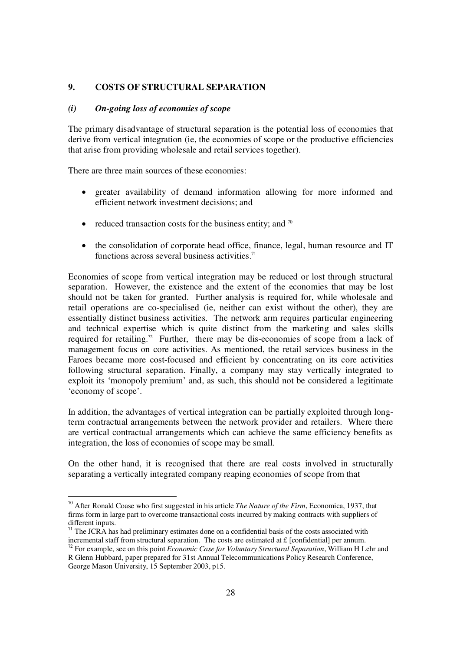## **9. COSTS OF STRUCTURAL SEPARATION**

#### *(i) On-going loss of economies of scope*

The primary disadvantage of structural separation is the potential loss of economies that derive from vertical integration (ie, the economies of scope or the productive efficiencies that arise from providing wholesale and retail services together).

There are three main sources of these economies:

- $\bullet$  greater availability of demand information allowing for more informed and efficient network investment decisions; and
- reduced transaction costs for the business entity; and  $\frac{70}{2}$
- the consolidation of corporate head office, finance, legal, human resource and IT functions across several business activities.<sup>71</sup>

Economies of scope from vertical integration may be reduced or lost through structural separation. However, the existence and the extent of the economies that may be lost should not be taken for granted. Further analysis is required for, while wholesale and retail operations are co-specialised (ie, neither can exist without the other), they are essentially distinct business activities. The network arm requires particular engineering and technical expertise which is quite distinct from the marketing and sales skills required for retailing.<sup>72</sup> Further, there may be dis-economies of scope from a lack of management focus on core activities. As mentioned, the retail services business in the Faroes became more cost-focused and efficient by concentrating on its core activities following structural separation. Finally, a company may stay vertically integrated to exploit its 'monopoly premium' and, as such, this should not be considered a legitimate 'economy of scope'.

In addition, the advantages of vertical integration can be partially exploited through longterm contractual arrangements between the network provider and retailers. Where there are vertical contractual arrangements which can achieve the same efficiency benefits as integration, the loss of economies of scope may be small.

On the other hand, it is recognised that there are real costs involved in structurally separating a vertically integrated company reaping economies of scope from that

<sup>70</sup> After Ronald Coase who first suggested in his article *The Nature of the Firm*, Economica, 1937, that firms form in large part to overcome transactional costs incurred by making contracts with suppliers of different inputs.

 $71$  The JCRA has had preliminary estimates done on a confidential basis of the costs associated with incremental staff from structural separation. The costs are estimated at  $\pounds$  [confidential] per annum.

<sup>72</sup> For example, see on this point *Economic Case for Voluntary Structural Separation*, William H Lehr and R Glenn Hubbard, paper prepared for 31st Annual Telecommunications Policy Research Conference, George Mason University, 15 September 2003, p15.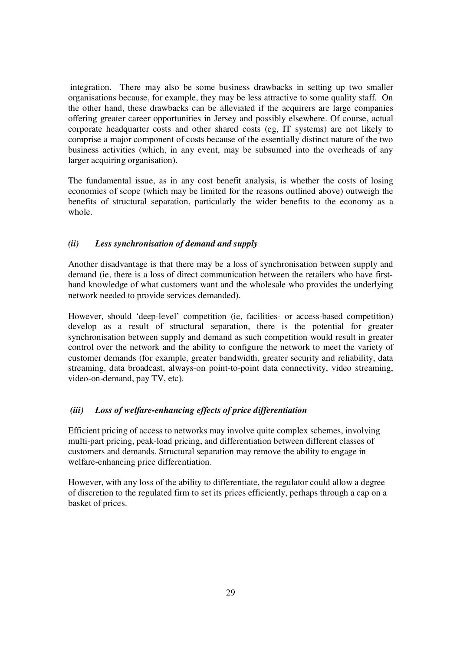integration. There may also be some business drawbacks in setting up two smaller organisations because, for example, they may be less attractive to some quality staff. On the other hand, these drawbacks can be alleviated if the acquirers are large companies offering greater career opportunities in Jersey and possibly elsewhere. Of course, actual corporate headquarter costs and other shared costs (eg, IT systems) are not likely to comprise a major component of costs because of the essentially distinct nature of the two business activities (which, in any event, may be subsumed into the overheads of any larger acquiring organisation).

The fundamental issue, as in any cost benefit analysis, is whether the costs of losing economies of scope (which may be limited for the reasons outlined above) outweigh the benefits of structural separation, particularly the wider benefits to the economy as a whole.

## *(ii) Less synchronisation of demand and supply*

Another disadvantage is that there may be a loss of synchronisation between supply and demand (ie, there is a loss of direct communication between the retailers who have firsthand knowledge of what customers want and the wholesale who provides the underlying network needed to provide services demanded).

However, should 'deep-level' competition (ie, facilities- or access-based competition) develop as a result of structural separation, there is the potential for greater synchronisation between supply and demand as such competition would result in greater control over the network and the ability to configure the network to meet the variety of customer demands (for example, greater bandwidth, greater security and reliability, data streaming, data broadcast, always-on point-to-point data connectivity, video streaming, video-on-demand, pay TV, etc).

## *(iii) Loss of welfare-enhancing effects of price differentiation*

Efficient pricing of access to networks may involve quite complex schemes, involving multi-part pricing, peak-load pricing, and differentiation between different classes of customers and demands. Structural separation may remove the ability to engage in welfare-enhancing price differentiation.

However, with any loss of the ability to differentiate, the regulator could allow a degree of discretion to the regulated firm to set its prices efficiently, perhaps through a cap on a basket of prices.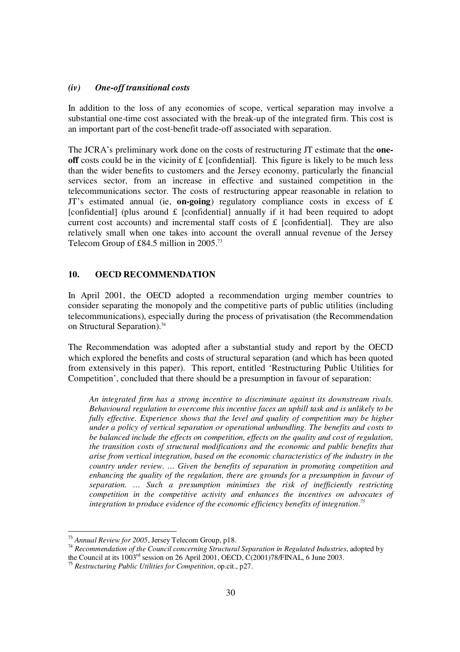## *(iv) One-off transitional costs*

In addition to the loss of any economies of scope, vertical separation may involve a substantial one-time cost associated with the break-up of the integrated firm. This cost is an important part of the cost-benefit trade-off associated with separation.

The JCRA's preliminary work done on the costs of restructuring JT estimate that the **oneoff** costs could be in the vicinity of  $\pounds$  [confidential]. This figure is likely to be much less than the wider benefits to customers and the Jersey economy, particularly the financial services sector, from an increase in effective and sustained competition in the telecommunications sector. The costs of restructuring appear reasonable in relation to JT's estimated annual (ie, **on-going**) regulatory compliance costs in excess of  $\pounds$ [confidential] (plus around  $\pounds$  [confidential] annually if it had been required to adopt current cost accounts) and incremental staff costs of  $f$  [confidential]. They are also relatively small when one takes into account the overall annual revenue of the Jersey Telecom Group of £84.5 million in 2005.<sup>73</sup>

## **10. OECD RECOMMENDATION**

In April 2001, the OECD adopted a recommendation urging member countries to consider separating the monopoly and the competitive parts of public utilities (including telecommunications), especially during the process of privatisation (the Recommendation on Structural Separation). 74

The Recommendation was adopted after a substantial study and report by the OECD which explored the benefits and costs of structural separation (and which has been quoted from extensively in this paper). This report, entitled 'Restructuring Public Utilities for Competition', concluded that there should be a presumption in favour of separation:

*An integrated firm has a strong incentive to discriminate against its downstream rivals. Behavioural regulation to overcome this incentive faces an uphill task and is unlikely to be fully effective. Experience shows that the level and quality of competition may be higher under a policy of vertical separation or operational unbundling. The benefits and costs to be balanced include the effects on competition, effects on the quality and cost of regulation, the transition costs of structural modifications and the economic and public benefits that arise from vertical integration, based on the economic characteristics of the industry in the country under review. … Given the benefits of separation in promoting competition and enhancing the quality of the regulation, there are grounds for a presumption in favour of separation. … Such a presumption minimises the risk of inefficiently restricting competition in the competitive activity and enhances the incentives on advocates of integration to produce evidence of the economic efficiency benefits of integration. 75*

<sup>73</sup> *Annual Review for 2005*, Jersey Telecom Group, p18.

<sup>74</sup> *Recommendation of the Council concerning Structural Separation in Regulated Industries*, adopted by the Council at its 1003<sup>rd</sup> session on 26 April 2001, OECD, C(2001)78/FINAL, 6 June 2003.

<sup>75</sup> *Restructuring Public Utilities for Competition*, op.cit., p27.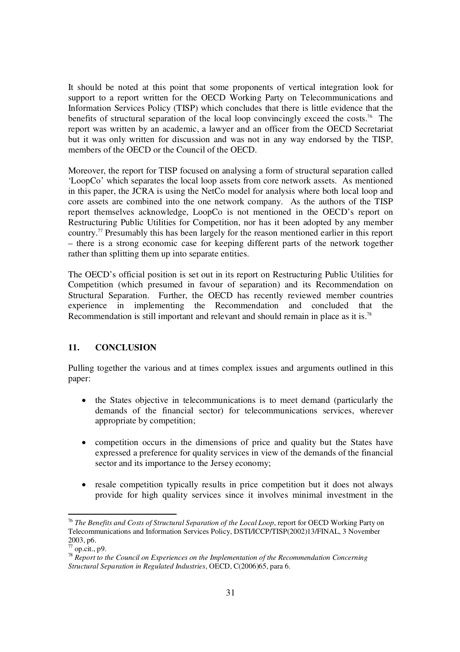It should be noted at this point that some proponents of vertical integration look for support to a report written for the OECD Working Party on Telecommunications and Information Services Policy (TISP) which concludes that there is little evidence that the benefits of structural separation of the local loop convincingly exceed the costs. <sup>76</sup> The report was written by an academic, a lawyer and an officer from the OECD Secretariat but it was only written for discussion and was not in any way endorsed by the TISP, members of the OECD or the Council of the OECD.

Moreover, the report for TISP focused on analysing a form of structural separation called 'LoopCo' which separates the local loop assets from core network assets. As mentioned in this paper, the JCRA is using the NetCo model for analysis where both local loop and core assets are combined into the one network company. As the authors of the TISP report themselves acknowledge, LoopCo is not mentioned in the OECD's report on Restructuring Public Utilities for Competition, nor has it been adopted by any member country. <sup>77</sup> Presumably this has been largely for the reason mentioned earlier in this report – there is a strong economic case for keeping different parts of the network together rather than splitting them up into separate entities.

The OECD's official position is set out in its report on Restructuring Public Utilities for Competition (which presumed in favour of separation) and its Recommendation on Structural Separation. Further, the OECD has recently reviewed member countries experience in implementing the Recommendation and concluded that the Recommendation is still important and relevant and should remain in place as it is.<sup>78</sup>

## **11. CONCLUSION**

Pulling together the various and at times complex issues and arguments outlined in this paper:

- $\bullet$  the States objective in telecommunications is to meet demand (particularly the demands of the financial sector) for telecommunications services, wherever appropriate by competition;
- competition occurs in the dimensions of price and quality but the States have expressed a preference for quality services in view of the demands of the financial sector and its importance to the Jersey economy;
- $\bullet$  resale competition typically results in price competition but it does not always provide for high quality services since it involves minimal investment in the

<sup>76</sup> *The Benefits and Costs of Structural Separation of the Local Loop*, report for OECD Working Party on Telecommunications and Information Services Policy, DSTI/ICCP/TISP(2002)13/FINAL, 3 November 2003, p6.

 $^{77}$  op.cit., p9.

<sup>78</sup> *Report to the Council on Experiences on the Implementation of the Recommendation Concerning Structural Separation in Regulated Industries*, OECD, C(2006)65, para 6.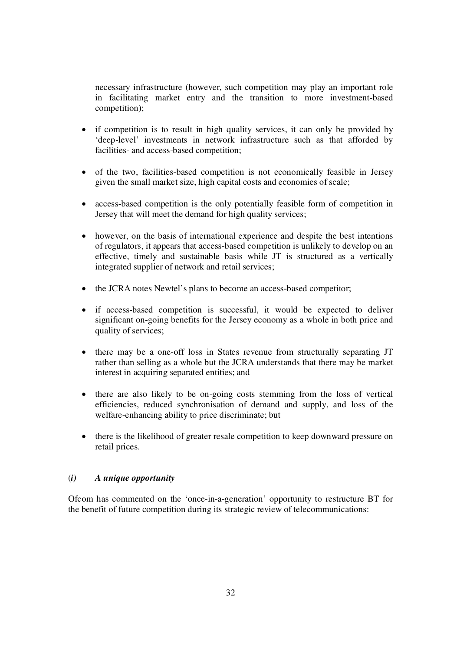necessary infrastructure (however, such competition may play an important role in facilitating market entry and the transition to more investment-based competition);

- if competition is to result in high quality services, it can only be provided by 'deep-level' investments in network infrastructure such as that afforded by facilities- and access-based competition;
- of the two, facilities-based competition is not economically feasible in Jersey given the small market size, high capital costs and economies of scale;
- access-based competition is the only potentially feasible form of competition in Jersey that will meet the demand for high quality services;
- however, on the basis of international experience and despite the best intentions of regulators, it appears that access-based competition is unlikely to develop on an effective, timely and sustainable basis while JT is structured as a vertically integrated supplier of network and retail services;
- the JCRA notes Newtel's plans to become an access-based competitor;
- if access-based competition is successful, it would be expected to deliver significant on-going benefits for the Jersey economy as a whole in both price and quality of services;
- there may be a one-off loss in States revenue from structurally separating JT rather than selling as a whole but the JCRA understands that there may be market interest in acquiring separated entities; and
- there are also likely to be on-going costs stemming from the loss of vertical efficiencies, reduced synchronisation of demand and supply, and loss of the welfare-enhancing ability to price discriminate; but
- $\bullet$  there is the likelihood of greater resale competition to keep downward pressure on retail prices.

## (*i) A unique opportunity*

Ofcom has commented on the 'once-in-a-generation' opportunity to restructure BT for the benefit of future competition during its strategic review of telecommunications: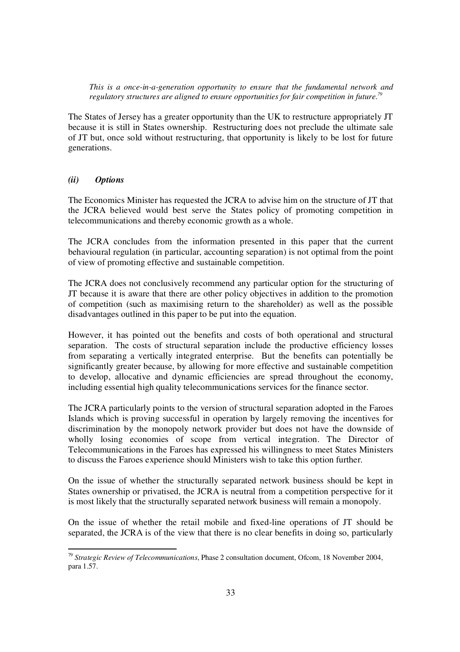*This is a once-in-a-generation opportunity to ensure that the fundamental network and regulatory structures are aligned to ensure opportunities for fair competition in future. 79*

The States of Jersey has a greater opportunity than the UK to restructure appropriately JT because it is still in States ownership. Restructuring does not preclude the ultimate sale of JT but, once sold without restructuring, that opportunity is likely to be lost for future generations.

## *(ii) Options*

The Economics Minister has requested the JCRA to advise him on the structure of JT that the JCRA believed would best serve the States policy of promoting competition in telecommunications and thereby economic growth as a whole.

The JCRA concludes from the information presented in this paper that the current behavioural regulation (in particular, accounting separation) is not optimal from the point of view of promoting effective and sustainable competition.

The JCRA does not conclusively recommend any particular option for the structuring of JT because it is aware that there are other policy objectives in addition to the promotion of competition (such as maximising return to the shareholder) as well as the possible disadvantages outlined in this paper to be put into the equation.

However, it has pointed out the benefits and costs of both operational and structural separation. The costs of structural separation include the productive efficiency losses from separating a vertically integrated enterprise. But the benefits can potentially be significantly greater because, by allowing for more effective and sustainable competition to develop, allocative and dynamic efficiencies are spread throughout the economy, including essential high quality telecommunications services for the finance sector.

The JCRA particularly points to the version of structural separation adopted in the Faroes Islands which is proving successful in operation by largely removing the incentives for discrimination by the monopoly network provider but does not have the downside of wholly losing economies of scope from vertical integration. The Director of Telecommunications in the Faroes has expressed his willingness to meet States Ministers to discuss the Faroes experience should Ministers wish to take this option further.

On the issue of whether the structurally separated network business should be kept in States ownership or privatised, the JCRA is neutral from a competition perspective for it is most likely that the structurally separated network business will remain a monopoly.

On the issue of whether the retail mobile and fixed-line operations of JT should be separated, the JCRA is of the view that there is no clear benefits in doing so, particularly

<sup>79</sup> *Strategic Review of Telecommunications*, Phase 2 consultation document, Ofcom, 18 November 2004, para 1.57.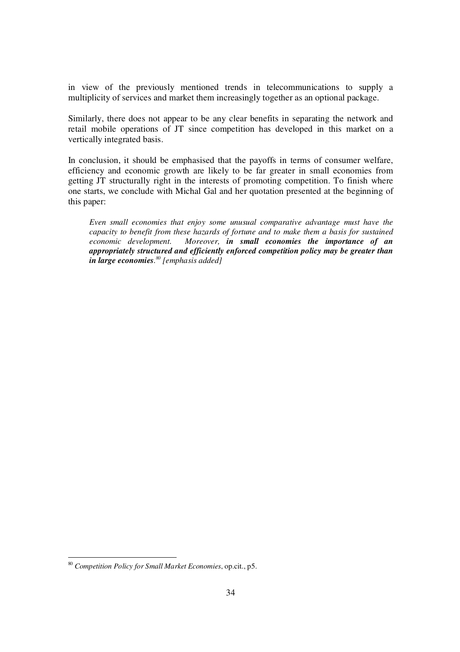in view of the previously mentioned trends in telecommunications to supply a multiplicity of services and market them increasingly together as an optional package.

Similarly, there does not appear to be any clear benefits in separating the network and retail mobile operations of JT since competition has developed in this market on a vertically integrated basis.

In conclusion, it should be emphasised that the payoffs in terms of consumer welfare, efficiency and economic growth are likely to be far greater in small economies from getting JT structurally right in the interests of promoting competition. To finish where one starts, we conclude with Michal Gal and her quotation presented at the beginning of this paper:

*Even small economies that enjoy some unusual comparative advantage must have the capacity to benefit from these hazards of fortune and to make them a basis for sustained economic development. Moreover, in small economies the importance of an appropriately structured and efficiently enforced competition policy may be greater than in large economies. 80 [emphasis added]*

<sup>80</sup> *Competition Policy for Small Market Economies*, op.cit., p5.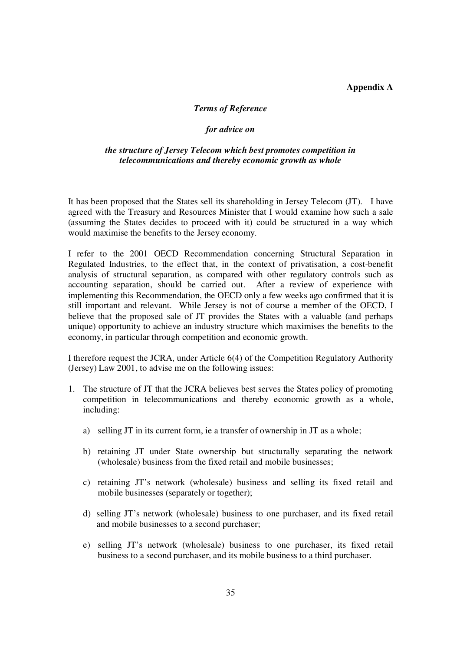## **Appendix A**

## *Terms of Reference*

#### *for advice on*

### *the structure of Jersey Telecom which best promotes competition in telecommunications and thereby economic growth as whole*

It has been proposed that the States sell its shareholding in Jersey Telecom (JT). I have agreed with the Treasury and Resources Minister that I would examine how such a sale (assuming the States decides to proceed with it) could be structured in a way which would maximise the benefits to the Jersey economy.

I refer to the 2001 OECD Recommendation concerning Structural Separation in Regulated Industries, to the effect that, in the context of privatisation, a cost-benefit analysis of structural separation, as compared with other regulatory controls such as accounting separation, should be carried out. After a review of experience with implementing this Recommendation, the OECD only a few weeks ago confirmed that it is still important and relevant. While Jersey is not of course a member of the OECD, I believe that the proposed sale of JT provides the States with a valuable (and perhaps unique) opportunity to achieve an industry structure which maximises the benefits to the economy, in particular through competition and economic growth.

I therefore request the JCRA, under Article 6(4) of the Competition Regulatory Authority (Jersey) Law 2001, to advise me on the following issues:

- 1. The structure of JT that the JCRA believes best serves the States policy of promoting competition in telecommunications and thereby economic growth as a whole, including:
	- a) selling JT in its current form, ie a transfer of ownership in JT as a whole;
	- b) retaining JT under State ownership but structurally separating the network (wholesale) business from the fixed retail and mobile businesses;
	- c) retaining JT's network (wholesale) business and selling its fixed retail and mobile businesses (separately or together);
	- d) selling JT's network (wholesale) business to one purchaser, and its fixed retail and mobile businesses to a second purchaser;
	- e) selling JT's network (wholesale) business to one purchaser, its fixed retail business to a second purchaser, and its mobile business to a third purchaser.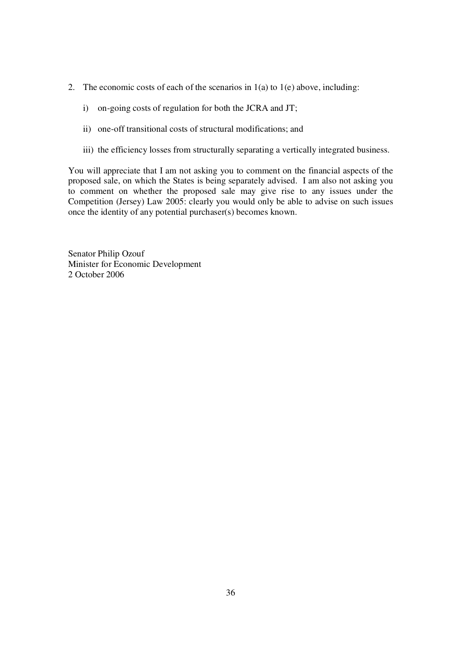- 2. The economic costs of each of the scenarios in 1(a) to 1(e) above, including:
	- i) on-going costs of regulation for both the JCRA and JT;
	- ii) one-off transitional costs of structural modifications; and
	- iii) the efficiency losses from structurally separating a vertically integrated business.

You will appreciate that I am not asking you to comment on the financial aspects of the proposed sale, on which the States is being separately advised. I am also not asking you to comment on whether the proposed sale may give rise to any issues under the Competition (Jersey) Law 2005: clearly you would only be able to advise on such issues once the identity of any potential purchaser(s) becomes known.

Senator Philip Ozouf Minister for Economic Development 2 October 2006